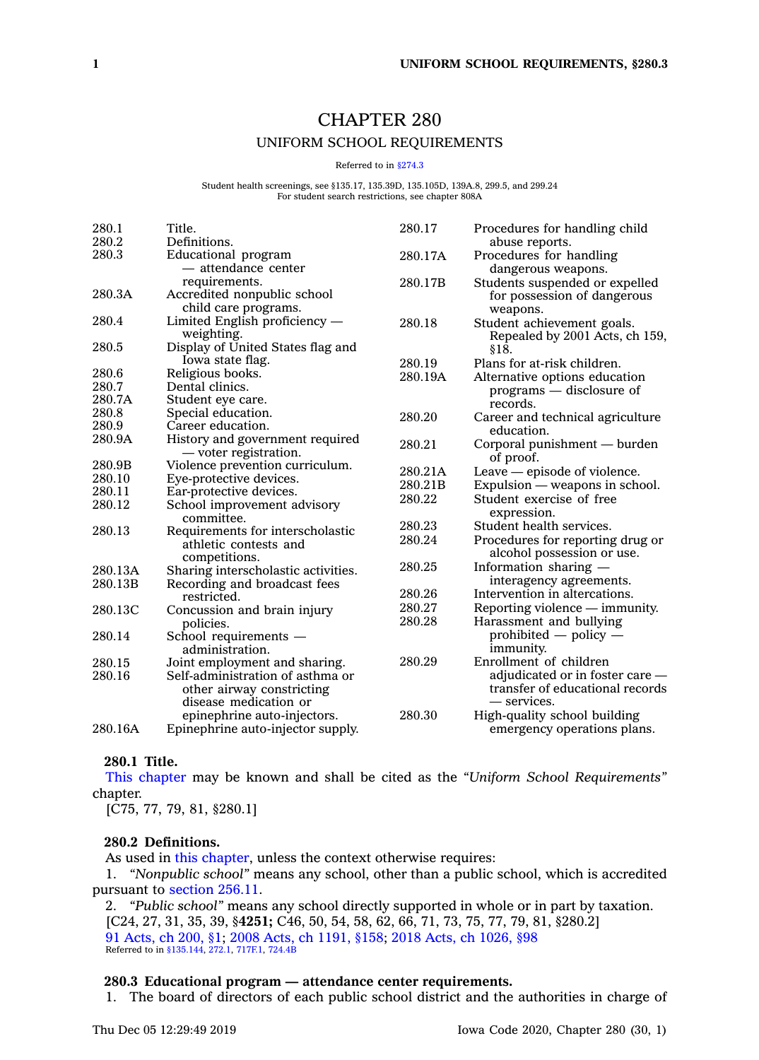# CHAPTER 280

# UNIFORM SCHOOL REQUIREMENTS

#### Referred to in [§274.3](https://www.legis.iowa.gov/docs/code/274.3.pdf)

Student health screenings, see §135.17, 135.39D, 135.105D, 139A.8, 299.5, and 299.24 For student search restrictions, see chapter 808A

| 280.1   | Title.                              | 280.17  | Procedures for handling child    |
|---------|-------------------------------------|---------|----------------------------------|
| 280.2   | Definitions.                        |         | abuse reports.                   |
| 280.3   | Educational program                 | 280.17A | Procedures for handling          |
|         | - attendance center                 |         | dangerous weapons.               |
|         | requirements.                       | 280.17B | Students suspended or expelled   |
| 280.3A  | Accredited nonpublic school         |         | for possession of dangerous      |
|         | child care programs.                |         | weapons.                         |
| 280.4   | Limited English proficiency -       | 280.18  | Student achievement goals.       |
|         | weighting.                          |         | Repealed by 2001 Acts, ch 159,   |
| 280.5   | Display of United States flag and   |         | \$18.                            |
|         | Iowa state flag.                    | 280.19  | Plans for at-risk children.      |
| 280.6   | Religious books.                    | 280.19A | Alternative options education    |
| 280.7   | Dental clinics.                     |         | $programs$ — disclosure of       |
| 280.7A  | Student eye care.                   |         | records.                         |
| 280.8   | Special education.                  | 280.20  | Career and technical agriculture |
| 280.9   | Career education.                   |         | education.                       |
| 280.9A  | History and government required     | 280.21  | Corporal punishment — burden     |
|         | — voter registration.               |         | of proof.                        |
| 280.9B  | Violence prevention curriculum.     | 280.21A | Leave — episode of violence.     |
| 280.10  | Eye-protective devices.             | 280.21B | Expulsion — weapons in school.   |
| 280.11  | Ear-protective devices.             | 280.22  | Student exercise of free         |
| 280.12  | School improvement advisory         |         | expression.                      |
|         | committee.                          | 280.23  | Student health services.         |
| 280.13  | Requirements for interscholastic    |         |                                  |
|         | athletic contests and               | 280.24  | Procedures for reporting drug or |
|         | competitions.                       |         | alcohol possession or use.       |
| 280.13A | Sharing interscholastic activities. | 280.25  | Information sharing —            |
| 280.13B | Recording and broadcast fees        |         | interagency agreements.          |
|         | restricted.                         | 280.26  | Intervention in altercations.    |
| 280.13C | Concussion and brain injury         | 280.27  | Reporting violence — immunity.   |
|         | policies.                           | 280.28  | Harassment and bullying          |
| 280.14  | School requirements -               |         | prohibited $-$ policy $-$        |
|         | administration.                     |         | immunity.                        |
| 280.15  | Joint employment and sharing.       | 280.29  | Enrollment of children           |
| 280.16  | Self-administration of asthma or    |         | adjudicated or in foster care -  |
|         | other airway constricting           |         | transfer of educational records  |
|         | disease medication or               |         | — services.                      |
|         | epinephrine auto-injectors.         | 280.30  | High-quality school building     |
| 280.16A | Epinephrine auto-injector supply.   |         | emergency operations plans.      |
|         |                                     |         |                                  |

### **280.1 Title.**

This [chapter](https://www.legis.iowa.gov/docs/code//280.pdf) may be known and shall be cited as the *"Uniform School Requirements"* chapter.

[C75, 77, 79, 81, §280.1]

### **280.2 Definitions.**

As used in this [chapter](https://www.legis.iowa.gov/docs/code//280.pdf), unless the context otherwise requires:

1. *"Nonpublic school"* means any school, other than <sup>a</sup> public school, which is accredited pursuant to [section](https://www.legis.iowa.gov/docs/code/256.11.pdf) 256.11.

2. *"Public school"* means any school directly supported in whole or in part by taxation. [C24, 27, 31, 35, 39, §**4251;** C46, 50, 54, 58, 62, 66, 71, 73, 75, 77, 79, 81, §280.2] 91 [Acts,](https://www.legis.iowa.gov/docs/acts/91/CH0200.pdf) ch 200, §1; 2008 Acts, ch [1191,](https://www.legis.iowa.gov/docs/acts/2008/CH1191.pdf) §158; 2018 Acts, ch [1026,](https://www.legis.iowa.gov/docs/acts/2018/CH1026.pdf) §98 Referred to in [§135.144](https://www.legis.iowa.gov/docs/code/135.144.pdf), [272.1](https://www.legis.iowa.gov/docs/code/272.1.pdf), [717F.1](https://www.legis.iowa.gov/docs/code/717F.1.pdf), [724.4B](https://www.legis.iowa.gov/docs/code/724.4B.pdf)

# **280.3 Educational program — attendance center requirements.**

1. The board of directors of each public school district and the authorities in charge of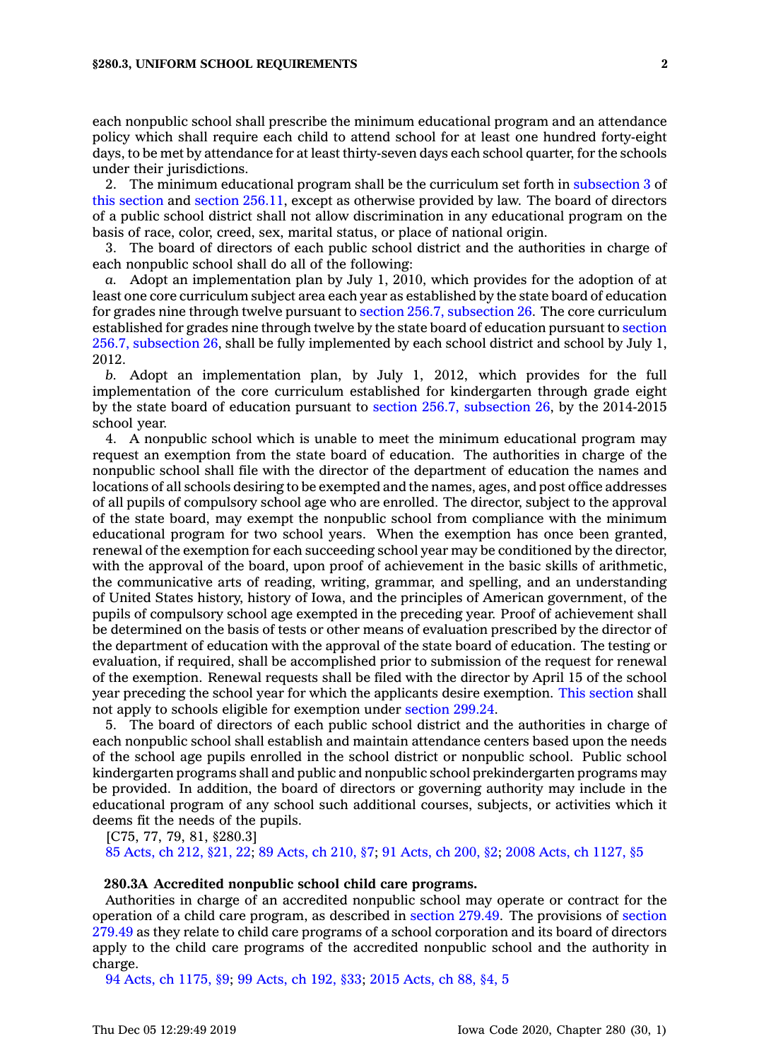each nonpublic school shall prescribe the minimum educational program and an attendance policy which shall require each child to attend school for at least one hundred forty-eight days, to be met by attendance for at least thirty-seven days each school quarter, for the schools under their jurisdictions.

2. The minimum educational program shall be the curriculum set forth in [subsection](https://www.legis.iowa.gov/docs/code/280.3.pdf) 3 of this [section](https://www.legis.iowa.gov/docs/code/280.3.pdf) and section [256.11](https://www.legis.iowa.gov/docs/code/256.11.pdf), except as otherwise provided by law. The board of directors of <sup>a</sup> public school district shall not allow discrimination in any educational program on the basis of race, color, creed, sex, marital status, or place of national origin.

3. The board of directors of each public school district and the authorities in charge of each nonpublic school shall do all of the following:

*a.* Adopt an implementation plan by July 1, 2010, which provides for the adoption of at least one core curriculum subject area each year as established by the state board of education for grades nine through twelve pursuant to section 256.7, [subsection](https://www.legis.iowa.gov/docs/code/256.7.pdf) 26. The core curriculum established for grades nine through twelve by the state board of education pursuant to [section](https://www.legis.iowa.gov/docs/code/256.7.pdf) 256.7, [subsection](https://www.legis.iowa.gov/docs/code/256.7.pdf) 26, shall be fully implemented by each school district and school by July 1, 2012.

*b.* Adopt an implementation plan, by July 1, 2012, which provides for the full implementation of the core curriculum established for kindergarten through grade eight by the state board of education pursuant to section 256.7, [subsection](https://www.legis.iowa.gov/docs/code/256.7.pdf) 26, by the 2014-2015 school year.

4. A nonpublic school which is unable to meet the minimum educational program may request an exemption from the state board of education. The authorities in charge of the nonpublic school shall file with the director of the department of education the names and locations of all schools desiring to be exempted and the names, ages, and post office addresses of all pupils of compulsory school age who are enrolled. The director, subject to the approval of the state board, may exempt the nonpublic school from compliance with the minimum educational program for two school years. When the exemption has once been granted, renewal of the exemption for each succeeding school year may be conditioned by the director, with the approval of the board, upon proof of achievement in the basic skills of arithmetic, the communicative arts of reading, writing, grammar, and spelling, and an understanding of United States history, history of Iowa, and the principles of American government, of the pupils of compulsory school age exempted in the preceding year. Proof of achievement shall be determined on the basis of tests or other means of evaluation prescribed by the director of the department of education with the approval of the state board of education. The testing or evaluation, if required, shall be accomplished prior to submission of the request for renewal of the exemption. Renewal requests shall be filed with the director by April 15 of the school year preceding the school year for which the applicants desire exemption. This [section](https://www.legis.iowa.gov/docs/code/280.3.pdf) shall not apply to schools eligible for exemption under [section](https://www.legis.iowa.gov/docs/code/299.24.pdf) 299.24.

5. The board of directors of each public school district and the authorities in charge of each nonpublic school shall establish and maintain attendance centers based upon the needs of the school age pupils enrolled in the school district or nonpublic school. Public school kindergarten programs shall and public and nonpublic school prekindergarten programs may be provided. In addition, the board of directors or governing authority may include in the educational program of any school such additional courses, subjects, or activities which it deems fit the needs of the pupils.

[C75, 77, 79, 81, §280.3]

85 [Acts,](https://www.legis.iowa.gov/docs/acts/1985/CH0212.pdf) ch 212, §21, 22; 89 [Acts,](https://www.legis.iowa.gov/docs/acts/1989/CH0210.pdf) ch 210, §7; 91 [Acts,](https://www.legis.iowa.gov/docs/acts/1991/CH0200.pdf) ch 200, §2; 2008 Acts, ch [1127,](https://www.legis.iowa.gov/docs/acts/2008/CH1127.pdf) §5

### **280.3A Accredited nonpublic school child care programs.**

Authorities in charge of an accredited nonpublic school may operate or contract for the operation of <sup>a</sup> child care program, as described in [section](https://www.legis.iowa.gov/docs/code/279.49.pdf) 279.49. The provisions of [section](https://www.legis.iowa.gov/docs/code/279.49.pdf) [279.49](https://www.legis.iowa.gov/docs/code/279.49.pdf) as they relate to child care programs of <sup>a</sup> school corporation and its board of directors apply to the child care programs of the accredited nonpublic school and the authority in charge.

94 Acts, ch [1175,](https://www.legis.iowa.gov/docs/acts/94/CH1175.pdf) §9; 99 [Acts,](https://www.legis.iowa.gov/docs/acts/99/CH0192.pdf) ch 192, §33; 2015 [Acts,](https://www.legis.iowa.gov/docs/acts/2015/CH0088.pdf) ch 88, §4, 5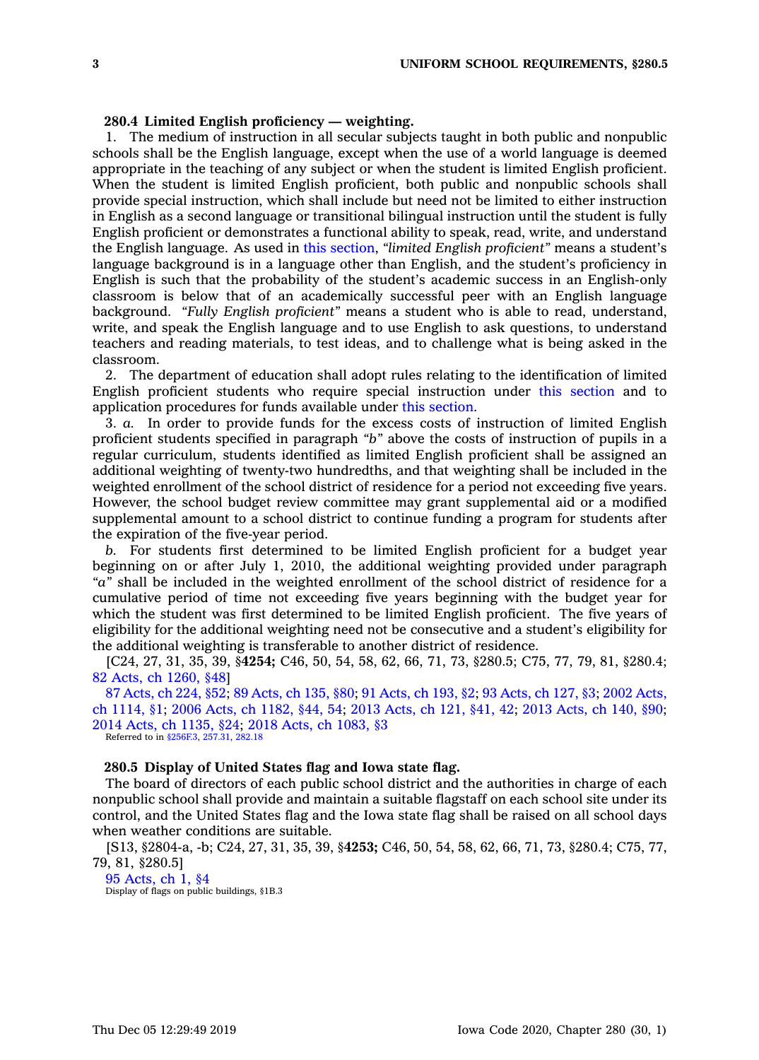# **280.4 Limited English proficiency — weighting.**

1. The medium of instruction in all secular subjects taught in both public and nonpublic schools shall be the English language, except when the use of <sup>a</sup> world language is deemed appropriate in the teaching of any subject or when the student is limited English proficient. When the student is limited English proficient, both public and nonpublic schools shall provide special instruction, which shall include but need not be limited to either instruction in English as <sup>a</sup> second language or transitional bilingual instruction until the student is fully English proficient or demonstrates <sup>a</sup> functional ability to speak, read, write, and understand the English language. As used in this [section](https://www.legis.iowa.gov/docs/code/280.4.pdf), *"limited English proficient"* means <sup>a</sup> student's language background is in <sup>a</sup> language other than English, and the student's proficiency in English is such that the probability of the student's academic success in an English-only classroom is below that of an academically successful peer with an English language background. *"Fully English proficient"* means <sup>a</sup> student who is able to read, understand, write, and speak the English language and to use English to ask questions, to understand teachers and reading materials, to test ideas, and to challenge what is being asked in the classroom.

2. The department of education shall adopt rules relating to the identification of limited English proficient students who require special instruction under this [section](https://www.legis.iowa.gov/docs/code/280.4.pdf) and to application procedures for funds available under this [section](https://www.legis.iowa.gov/docs/code/280.4.pdf).

3. *a.* In order to provide funds for the excess costs of instruction of limited English proficient students specified in paragraph *"b"* above the costs of instruction of pupils in <sup>a</sup> regular curriculum, students identified as limited English proficient shall be assigned an additional weighting of twenty-two hundredths, and that weighting shall be included in the weighted enrollment of the school district of residence for <sup>a</sup> period not exceeding five years. However, the school budget review committee may grant supplemental aid or <sup>a</sup> modified supplemental amount to <sup>a</sup> school district to continue funding <sup>a</sup> program for students after the expiration of the five-year period.

*b.* For students first determined to be limited English proficient for <sup>a</sup> budget year beginning on or after July 1, 2010, the additional weighting provided under paragraph *"a"* shall be included in the weighted enrollment of the school district of residence for <sup>a</sup> cumulative period of time not exceeding five years beginning with the budget year for which the student was first determined to be limited English proficient. The five years of eligibility for the additional weighting need not be consecutive and <sup>a</sup> student's eligibility for the additional weighting is transferable to another district of residence.

[C24, 27, 31, 35, 39, §**4254;** C46, 50, 54, 58, 62, 66, 71, 73, §280.5; C75, 77, 79, 81, §280.4; 82 Acts, ch [1260,](https://www.legis.iowa.gov/docs/acts/1982/CH1260.pdf) §48]

87 [Acts,](https://www.legis.iowa.gov/docs/acts/87/CH0224.pdf) ch 224, §52; 89 [Acts,](https://www.legis.iowa.gov/docs/acts/89/CH0135.pdf) ch 135, §80; 91 [Acts,](https://www.legis.iowa.gov/docs/acts/91/CH0193.pdf) ch 193, §2; 93 [Acts,](https://www.legis.iowa.gov/docs/acts/93/CH0127.pdf) ch 127, §3; 2002 [Acts,](https://www.legis.iowa.gov/docs/acts/2002/CH1114.pdf) ch [1114,](https://www.legis.iowa.gov/docs/acts/2002/CH1114.pdf) §1; 2006 Acts, ch [1182,](https://www.legis.iowa.gov/docs/acts/2006/CH1182.pdf) §44, 54; 2013 [Acts,](https://www.legis.iowa.gov/docs/acts/2013/CH0121.pdf) ch 121, §41, 42; 2013 [Acts,](https://www.legis.iowa.gov/docs/acts/2013/CH0140.pdf) ch 140, §90; 2014 Acts, ch [1135,](https://www.legis.iowa.gov/docs/acts/2014/CH1135.pdf) §24; 2018 Acts, ch [1083,](https://www.legis.iowa.gov/docs/acts/2018/CH1083.pdf) §3

Referred to in [§256F.3](https://www.legis.iowa.gov/docs/code/256F.3.pdf), [257.31](https://www.legis.iowa.gov/docs/code/257.31.pdf), [282.18](https://www.legis.iowa.gov/docs/code/282.18.pdf)

# **280.5 Display of United States flag and Iowa state flag.**

The board of directors of each public school district and the authorities in charge of each nonpublic school shall provide and maintain <sup>a</sup> suitable flagstaff on each school site under its control, and the United States flag and the Iowa state flag shall be raised on all school days when weather conditions are suitable.

[S13, §2804-a, -b; C24, 27, 31, 35, 39, §**4253;** C46, 50, 54, 58, 62, 66, 71, 73, §280.4; C75, 77, 79, 81, §280.5]

<sup>95</sup> [Acts,](https://www.legis.iowa.gov/docs/acts/1995/CH0001.pdf) ch 1, §4 Display of flags on public buildings, §1B.3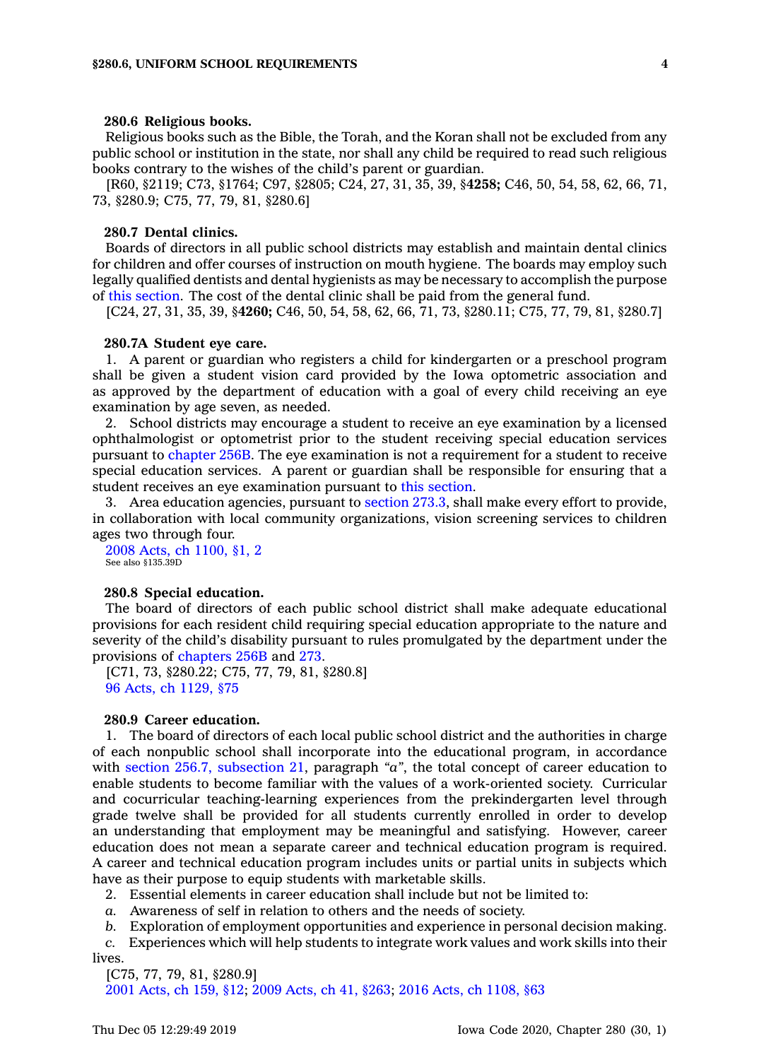#### **280.6 Religious books.**

Religious books such as the Bible, the Torah, and the Koran shall not be excluded from any public school or institution in the state, nor shall any child be required to read such religious books contrary to the wishes of the child's parent or guardian.

[R60, §2119; C73, §1764; C97, §2805; C24, 27, 31, 35, 39, §**4258;** C46, 50, 54, 58, 62, 66, 71, 73, §280.9; C75, 77, 79, 81, §280.6]

#### **280.7 Dental clinics.**

Boards of directors in all public school districts may establish and maintain dental clinics for children and offer courses of instruction on mouth hygiene. The boards may employ such legally qualified dentists and dental hygienists as may be necessary to accomplish the purpose of this [section](https://www.legis.iowa.gov/docs/code/280.7.pdf). The cost of the dental clinic shall be paid from the general fund.

[C24, 27, 31, 35, 39, §**4260;** C46, 50, 54, 58, 62, 66, 71, 73, §280.11; C75, 77, 79, 81, §280.7]

#### **280.7A Student eye care.**

1. A parent or guardian who registers <sup>a</sup> child for kindergarten or <sup>a</sup> preschool program shall be given <sup>a</sup> student vision card provided by the Iowa optometric association and as approved by the department of education with <sup>a</sup> goal of every child receiving an eye examination by age seven, as needed.

2. School districts may encourage <sup>a</sup> student to receive an eye examination by <sup>a</sup> licensed ophthalmologist or optometrist prior to the student receiving special education services pursuant to [chapter](https://www.legis.iowa.gov/docs/code//256B.pdf) 256B. The eye examination is not <sup>a</sup> requirement for <sup>a</sup> student to receive special education services. A parent or guardian shall be responsible for ensuring that <sup>a</sup> student receives an eye examination pursuant to this [section](https://www.legis.iowa.gov/docs/code/280.7A.pdf).

3. Area education agencies, pursuant to [section](https://www.legis.iowa.gov/docs/code/273.3.pdf) 273.3, shall make every effort to provide, in collaboration with local community organizations, vision screening services to children ages two through four.

2008 Acts, ch [1100,](https://www.legis.iowa.gov/docs/acts/2008/CH1100.pdf) §1, 2 See also §135.39D

#### **280.8 Special education.**

The board of directors of each public school district shall make adequate educational provisions for each resident child requiring special education appropriate to the nature and severity of the child's disability pursuant to rules promulgated by the department under the provisions of [chapters](https://www.legis.iowa.gov/docs/code//256B.pdf) 256B and [273](https://www.legis.iowa.gov/docs/code//273.pdf).

[C71, 73, §280.22; C75, 77, 79, 81, §280.8] 96 Acts, ch [1129,](https://www.legis.iowa.gov/docs/acts/1996/CH1129.pdf) §75

### **280.9 Career education.**

1. The board of directors of each local public school district and the authorities in charge of each nonpublic school shall incorporate into the educational program, in accordance with section 256.7, [subsection](https://www.legis.iowa.gov/docs/code/256.7.pdf) 21, paragraph *"a"*, the total concept of career education to enable students to become familiar with the values of <sup>a</sup> work-oriented society. Curricular and cocurricular teaching-learning experiences from the prekindergarten level through grade twelve shall be provided for all students currently enrolled in order to develop an understanding that employment may be meaningful and satisfying. However, career education does not mean <sup>a</sup> separate career and technical education program is required. A career and technical education program includes units or partial units in subjects which have as their purpose to equip students with marketable skills.

2. Essential elements in career education shall include but not be limited to:

*a.* Awareness of self in relation to others and the needs of society.

*b.* Exploration of employment opportunities and experience in personal decision making.

*c.* Experiences which will help students to integrate work values and work skills into their lives.

[C75, 77, 79, 81, §280.9] 2001 [Acts,](https://www.legis.iowa.gov/docs/acts/2001/CH0159.pdf) ch 159, §12; 2009 [Acts,](https://www.legis.iowa.gov/docs/acts/2009/CH0041.pdf) ch 41, §263; 2016 Acts, ch [1108,](https://www.legis.iowa.gov/docs/acts/2016/CH1108.pdf) §63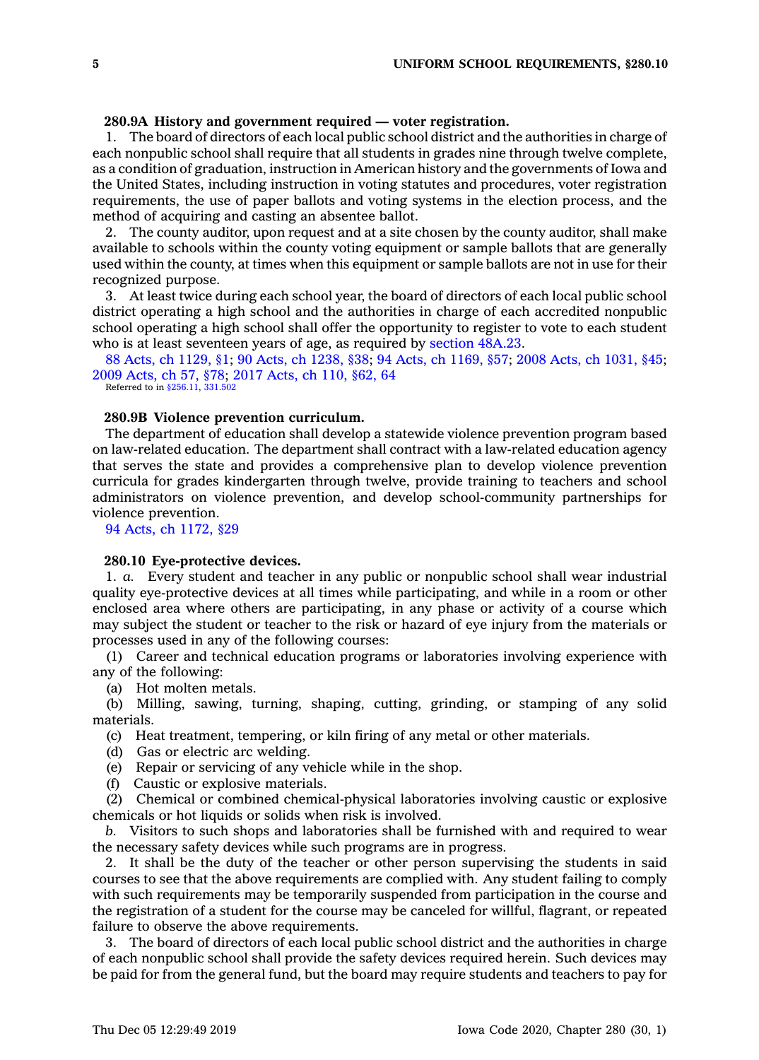# **280.9A History and government required — voter registration.**

1. The board of directors of each local public school district and the authorities in charge of each nonpublic school shall require that all students in grades nine through twelve complete, as <sup>a</sup> condition of graduation, instruction in American history and the governments of Iowa and the United States, including instruction in voting statutes and procedures, voter registration requirements, the use of paper ballots and voting systems in the election process, and the method of acquiring and casting an absentee ballot.

2. The county auditor, upon request and at <sup>a</sup> site chosen by the county auditor, shall make available to schools within the county voting equipment or sample ballots that are generally used within the county, at times when this equipment or sample ballots are not in use for their recognized purpose.

3. At least twice during each school year, the board of directors of each local public school district operating <sup>a</sup> high school and the authorities in charge of each accredited nonpublic school operating <sup>a</sup> high school shall offer the opportunity to register to vote to each student who is at least seventeen years of age, as required by [section](https://www.legis.iowa.gov/docs/code/48A.23.pdf) 48A.23.

88 Acts, ch [1129,](https://www.legis.iowa.gov/docs/acts/88/CH1129.pdf) §1; 90 Acts, ch [1238,](https://www.legis.iowa.gov/docs/acts/90/CH1238.pdf) §38; 94 Acts, ch [1169,](https://www.legis.iowa.gov/docs/acts/94/CH1169.pdf) §57; 2008 Acts, ch [1031,](https://www.legis.iowa.gov/docs/acts/2008/CH1031.pdf) §45; 2009 [Acts,](https://www.legis.iowa.gov/docs/acts/2009/CH0057.pdf) ch 57, §78; 2017 [Acts,](https://www.legis.iowa.gov/docs/acts/2017/CH0110.pdf) ch 110, §62, 64

Referred to in [§256.11](https://www.legis.iowa.gov/docs/code/256.11.pdf), [331.502](https://www.legis.iowa.gov/docs/code/331.502.pdf)

# **280.9B Violence prevention curriculum.**

The department of education shall develop <sup>a</sup> statewide violence prevention program based on law-related education. The department shall contract with <sup>a</sup> law-related education agency that serves the state and provides <sup>a</sup> comprehensive plan to develop violence prevention curricula for grades kindergarten through twelve, provide training to teachers and school administrators on violence prevention, and develop school-community partnerships for violence prevention.

94 Acts, ch [1172,](https://www.legis.iowa.gov/docs/acts/1994/CH1172.pdf) §29

#### **280.10 Eye-protective devices.**

1. *a.* Every student and teacher in any public or nonpublic school shall wear industrial quality eye-protective devices at all times while participating, and while in <sup>a</sup> room or other enclosed area where others are participating, in any phase or activity of <sup>a</sup> course which may subject the student or teacher to the risk or hazard of eye injury from the materials or processes used in any of the following courses:

(1) Career and technical education programs or laboratories involving experience with any of the following:

(a) Hot molten metals.

(b) Milling, sawing, turning, shaping, cutting, grinding, or stamping of any solid materials.

- (c) Heat treatment, tempering, or kiln firing of any metal or other materials.
- (d) Gas or electric arc welding.
- (e) Repair or servicing of any vehicle while in the shop.
- (f) Caustic or explosive materials.

(2) Chemical or combined chemical-physical laboratories involving caustic or explosive chemicals or hot liquids or solids when risk is involved.

*b.* Visitors to such shops and laboratories shall be furnished with and required to wear the necessary safety devices while such programs are in progress.

2. It shall be the duty of the teacher or other person supervising the students in said courses to see that the above requirements are complied with. Any student failing to comply with such requirements may be temporarily suspended from participation in the course and the registration of <sup>a</sup> student for the course may be canceled for willful, flagrant, or repeated failure to observe the above requirements.

3. The board of directors of each local public school district and the authorities in charge of each nonpublic school shall provide the safety devices required herein. Such devices may be paid for from the general fund, but the board may require students and teachers to pay for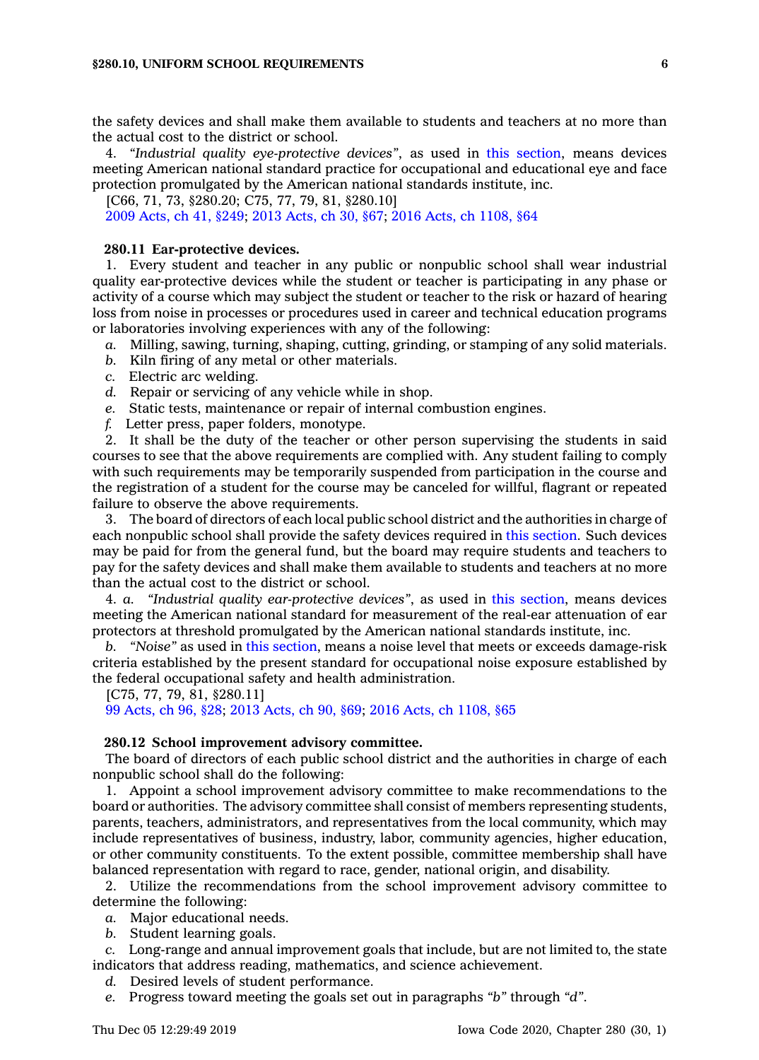the safety devices and shall make them available to students and teachers at no more than the actual cost to the district or school.

4. *"Industrial quality eye-protective devices"*, as used in this [section](https://www.legis.iowa.gov/docs/code/280.10.pdf), means devices meeting American national standard practice for occupational and educational eye and face protection promulgated by the American national standards institute, inc.

[C66, 71, 73, §280.20; C75, 77, 79, 81, §280.10]

2009 [Acts,](https://www.legis.iowa.gov/docs/acts/2009/CH0041.pdf) ch 41, §249; 2013 [Acts,](https://www.legis.iowa.gov/docs/acts/2013/CH0030.pdf) ch 30, §67; 2016 Acts, ch [1108,](https://www.legis.iowa.gov/docs/acts/2016/CH1108.pdf) §64

#### **280.11 Ear-protective devices.**

1. Every student and teacher in any public or nonpublic school shall wear industrial quality ear-protective devices while the student or teacher is participating in any phase or activity of <sup>a</sup> course which may subject the student or teacher to the risk or hazard of hearing loss from noise in processes or procedures used in career and technical education programs or laboratories involving experiences with any of the following:

- *a.* Milling, sawing, turning, shaping, cutting, grinding, or stamping of any solid materials.
- *b.* Kiln firing of any metal or other materials.
- *c.* Electric arc welding.
- *d.* Repair or servicing of any vehicle while in shop.
- *e.* Static tests, maintenance or repair of internal combustion engines.
- *f.* Letter press, paper folders, monotype.

2. It shall be the duty of the teacher or other person supervising the students in said courses to see that the above requirements are complied with. Any student failing to comply with such requirements may be temporarily suspended from participation in the course and the registration of <sup>a</sup> student for the course may be canceled for willful, flagrant or repeated failure to observe the above requirements.

3. The board of directors of each local public school district and the authorities in charge of each nonpublic school shall provide the safety devices required in this [section](https://www.legis.iowa.gov/docs/code/280.11.pdf). Such devices may be paid for from the general fund, but the board may require students and teachers to pay for the safety devices and shall make them available to students and teachers at no more than the actual cost to the district or school.

4. *a. "Industrial quality ear-protective devices"*, as used in this [section](https://www.legis.iowa.gov/docs/code/280.11.pdf), means devices meeting the American national standard for measurement of the real-ear attenuation of ear protectors at threshold promulgated by the American national standards institute, inc.

*b. "Noise"* as used in this [section](https://www.legis.iowa.gov/docs/code/280.11.pdf), means <sup>a</sup> noise level that meets or exceeds damage-risk criteria established by the present standard for occupational noise exposure established by the federal occupational safety and health administration.

[C75, 77, 79, 81, §280.11]

99 [Acts,](https://www.legis.iowa.gov/docs/acts/99/CH0096.pdf) ch 96, §28; 2013 [Acts,](https://www.legis.iowa.gov/docs/acts/2013/CH0090.pdf) ch 90, §69; 2016 Acts, ch [1108,](https://www.legis.iowa.gov/docs/acts/2016/CH1108.pdf) §65

#### **280.12 School improvement advisory committee.**

The board of directors of each public school district and the authorities in charge of each nonpublic school shall do the following:

1. Appoint <sup>a</sup> school improvement advisory committee to make recommendations to the board or authorities. The advisory committee shall consist of members representing students, parents, teachers, administrators, and representatives from the local community, which may include representatives of business, industry, labor, community agencies, higher education, or other community constituents. To the extent possible, committee membership shall have balanced representation with regard to race, gender, national origin, and disability.

2. Utilize the recommendations from the school improvement advisory committee to determine the following:

- *a.* Major educational needs.
- *b.* Student learning goals.

*c.* Long-range and annual improvement goals that include, but are not limited to, the state indicators that address reading, mathematics, and science achievement.

- *d.* Desired levels of student performance.
- *e.* Progress toward meeting the goals set out in paragraphs *"b"* through *"d"*.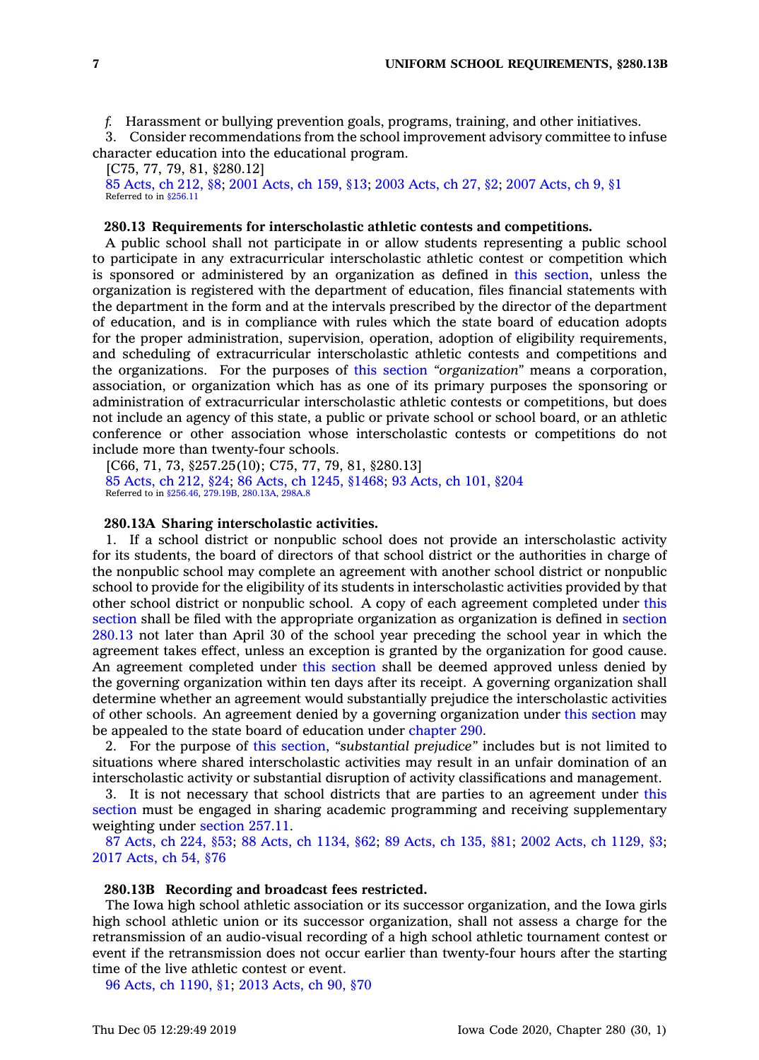*f.* Harassment or bullying prevention goals, programs, training, and other initiatives.

3. Consider recommendations from the school improvement advisory committee to infuse character education into the educational program.

[C75, 77, 79, 81, §280.12] 85 [Acts,](https://www.legis.iowa.gov/docs/acts/1985/CH0212.pdf) ch 212, §8; 2001 [Acts,](https://www.legis.iowa.gov/docs/acts/2001/CH0159.pdf) ch 159, §13; 2003 [Acts,](https://www.legis.iowa.gov/docs/acts/2003/CH0027.pdf) ch 27, §2; 2007 [Acts,](https://www.legis.iowa.gov/docs/acts/2007/CH0009.pdf) ch 9, §1 Referred to in [§256.11](https://www.legis.iowa.gov/docs/code/256.11.pdf)

#### **280.13 Requirements for interscholastic athletic contests and competitions.**

A public school shall not participate in or allow students representing <sup>a</sup> public school to participate in any extracurricular interscholastic athletic contest or competition which is sponsored or administered by an organization as defined in this [section](https://www.legis.iowa.gov/docs/code/280.13.pdf), unless the organization is registered with the department of education, files financial statements with the department in the form and at the intervals prescribed by the director of the department of education, and is in compliance with rules which the state board of education adopts for the proper administration, supervision, operation, adoption of eligibility requirements, and scheduling of extracurricular interscholastic athletic contests and competitions and the organizations. For the purposes of this [section](https://www.legis.iowa.gov/docs/code/280.13.pdf) *"organization"* means <sup>a</sup> corporation, association, or organization which has as one of its primary purposes the sponsoring or administration of extracurricular interscholastic athletic contests or competitions, but does not include an agency of this state, <sup>a</sup> public or private school or school board, or an athletic conference or other association whose interscholastic contests or competitions do not include more than twenty-four schools.

[C66, 71, 73, §257.25(10); C75, 77, 79, 81, §280.13] 85 [Acts,](https://www.legis.iowa.gov/docs/acts/1985/CH0212.pdf) ch 212, §24; 86 Acts, ch 1245, [§1468](https://www.legis.iowa.gov/docs/acts/1986/CH1245.pdf); 93 [Acts,](https://www.legis.iowa.gov/docs/acts/1993/CH0101.pdf) ch 101, §204 Referred to in [§256.46](https://www.legis.iowa.gov/docs/code/256.46.pdf), [279.19B](https://www.legis.iowa.gov/docs/code/279.19B.pdf), [280.13A](https://www.legis.iowa.gov/docs/code/280.13A.pdf), [298A.8](https://www.legis.iowa.gov/docs/code/298A.8.pdf)

### **280.13A Sharing interscholastic activities.**

1. If <sup>a</sup> school district or nonpublic school does not provide an interscholastic activity for its students, the board of directors of that school district or the authorities in charge of the nonpublic school may complete an agreement with another school district or nonpublic school to provide for the eligibility of its students in interscholastic activities provided by that other school district or nonpublic school. A copy of each agreement completed under [this](https://www.legis.iowa.gov/docs/code/280.13A.pdf) [section](https://www.legis.iowa.gov/docs/code/280.13A.pdf) shall be filed with the appropriate organization as organization is defined in [section](https://www.legis.iowa.gov/docs/code/280.13.pdf) [280.13](https://www.legis.iowa.gov/docs/code/280.13.pdf) not later than April 30 of the school year preceding the school year in which the agreement takes effect, unless an exception is granted by the organization for good cause. An agreement completed under this [section](https://www.legis.iowa.gov/docs/code/280.13A.pdf) shall be deemed approved unless denied by the governing organization within ten days after its receipt. A governing organization shall determine whether an agreement would substantially prejudice the interscholastic activities of other schools. An agreement denied by <sup>a</sup> governing organization under this [section](https://www.legis.iowa.gov/docs/code/280.13A.pdf) may be appealed to the state board of education under [chapter](https://www.legis.iowa.gov/docs/code//290.pdf) 290.

2. For the purpose of this [section](https://www.legis.iowa.gov/docs/code/280.13A.pdf), *"substantial prejudice"* includes but is not limited to situations where shared interscholastic activities may result in an unfair domination of an interscholastic activity or substantial disruption of activity classifications and management.

3. It is not necessary that school districts that are parties to an agreement under [this](https://www.legis.iowa.gov/docs/code/280.13A.pdf) [section](https://www.legis.iowa.gov/docs/code/280.13A.pdf) must be engaged in sharing academic programming and receiving supplementary weighting under [section](https://www.legis.iowa.gov/docs/code/257.11.pdf) 257.11.

87 [Acts,](https://www.legis.iowa.gov/docs/acts/87/CH0224.pdf) ch 224, §53; 88 Acts, ch [1134,](https://www.legis.iowa.gov/docs/acts/88/CH1134.pdf) §62; 89 [Acts,](https://www.legis.iowa.gov/docs/acts/89/CH0135.pdf) ch 135, §81; 2002 Acts, ch [1129,](https://www.legis.iowa.gov/docs/acts/2002/CH1129.pdf) §3; 2017 [Acts,](https://www.legis.iowa.gov/docs/acts/2017/CH0054.pdf) ch 54, §76

### **280.13B Recording and broadcast fees restricted.**

The Iowa high school athletic association or its successor organization, and the Iowa girls high school athletic union or its successor organization, shall not assess <sup>a</sup> charge for the retransmission of an audio-visual recording of <sup>a</sup> high school athletic tournament contest or event if the retransmission does not occur earlier than twenty-four hours after the starting time of the live athletic contest or event.

96 Acts, ch [1190,](https://www.legis.iowa.gov/docs/acts/96/CH1190.pdf) §1; 2013 [Acts,](https://www.legis.iowa.gov/docs/acts/2013/CH0090.pdf) ch 90, §70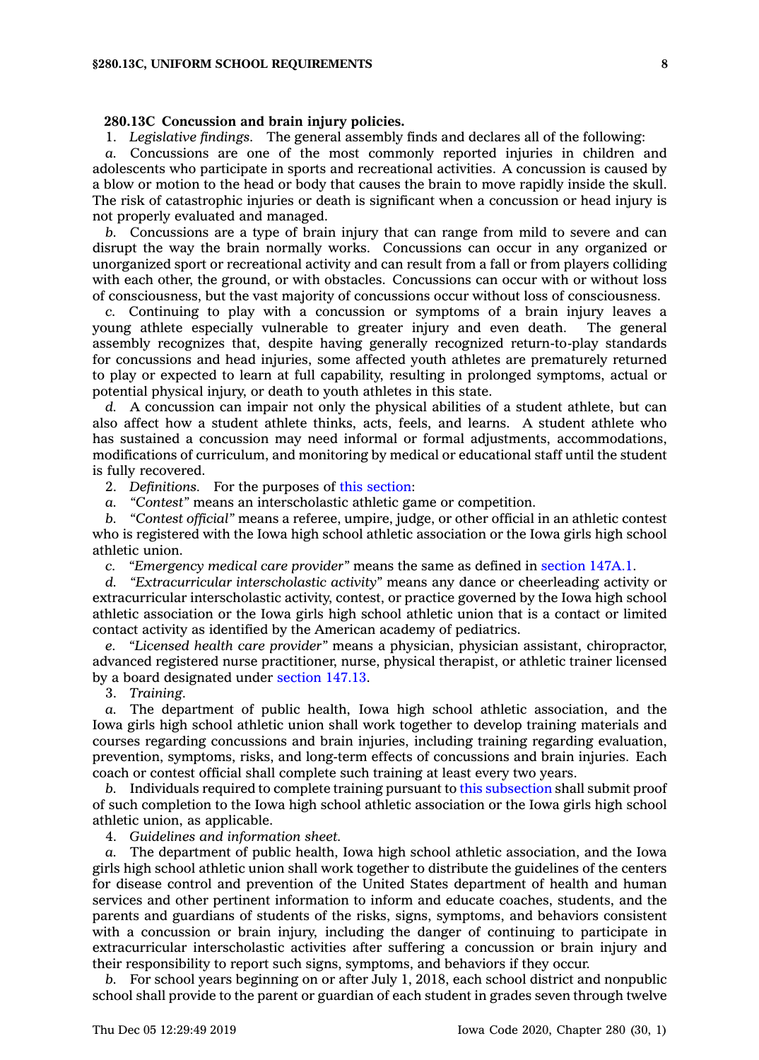#### **280.13C Concussion and brain injury policies.**

1. *Legislative findings.* The general assembly finds and declares all of the following:

*a.* Concussions are one of the most commonly reported injuries in children and adolescents who participate in sports and recreational activities. A concussion is caused by <sup>a</sup> blow or motion to the head or body that causes the brain to move rapidly inside the skull. The risk of catastrophic injuries or death is significant when <sup>a</sup> concussion or head injury is not properly evaluated and managed.

*b.* Concussions are <sup>a</sup> type of brain injury that can range from mild to severe and can disrupt the way the brain normally works. Concussions can occur in any organized or unorganized sport or recreational activity and can result from <sup>a</sup> fall or from players colliding with each other, the ground, or with obstacles. Concussions can occur with or without loss of consciousness, but the vast majority of concussions occur without loss of consciousness.

*c.* Continuing to play with <sup>a</sup> concussion or symptoms of <sup>a</sup> brain injury leaves <sup>a</sup> young athlete especially vulnerable to greater injury and even death. The general assembly recognizes that, despite having generally recognized return-to-play standards for concussions and head injuries, some affected youth athletes are prematurely returned to play or expected to learn at full capability, resulting in prolonged symptoms, actual or potential physical injury, or death to youth athletes in this state.

*d.* A concussion can impair not only the physical abilities of <sup>a</sup> student athlete, but can also affect how <sup>a</sup> student athlete thinks, acts, feels, and learns. A student athlete who has sustained <sup>a</sup> concussion may need informal or formal adjustments, accommodations, modifications of curriculum, and monitoring by medical or educational staff until the student is fully recovered.

2. *Definitions.* For the purposes of this [section](https://www.legis.iowa.gov/docs/code/280.13C.pdf):

*a. "Contest"* means an interscholastic athletic game or competition.

*b. "Contest official"* means <sup>a</sup> referee, umpire, judge, or other official in an athletic contest who is registered with the Iowa high school athletic association or the Iowa girls high school athletic union.

*c. "Emergency medical care provider"* means the same as defined in [section](https://www.legis.iowa.gov/docs/code/147A.1.pdf) 147A.1.

*d. "Extracurricular interscholastic activity"* means any dance or cheerleading activity or extracurricular interscholastic activity, contest, or practice governed by the Iowa high school athletic association or the Iowa girls high school athletic union that is <sup>a</sup> contact or limited contact activity as identified by the American academy of pediatrics.

*e. "Licensed health care provider"* means <sup>a</sup> physician, physician assistant, chiropractor, advanced registered nurse practitioner, nurse, physical therapist, or athletic trainer licensed by <sup>a</sup> board designated under [section](https://www.legis.iowa.gov/docs/code/147.13.pdf) 147.13.

3. *Training.*

*a.* The department of public health, Iowa high school athletic association, and the Iowa girls high school athletic union shall work together to develop training materials and courses regarding concussions and brain injuries, including training regarding evaluation, prevention, symptoms, risks, and long-term effects of concussions and brain injuries. Each coach or contest official shall complete such training at least every two years.

*b.* Individuals required to complete training pursuant to this [subsection](https://www.legis.iowa.gov/docs/code/280.13C.pdf) shall submit proof of such completion to the Iowa high school athletic association or the Iowa girls high school athletic union, as applicable.

4. *Guidelines and information sheet.*

*a.* The department of public health, Iowa high school athletic association, and the Iowa girls high school athletic union shall work together to distribute the guidelines of the centers for disease control and prevention of the United States department of health and human services and other pertinent information to inform and educate coaches, students, and the parents and guardians of students of the risks, signs, symptoms, and behaviors consistent with <sup>a</sup> concussion or brain injury, including the danger of continuing to participate in extracurricular interscholastic activities after suffering <sup>a</sup> concussion or brain injury and their responsibility to report such signs, symptoms, and behaviors if they occur.

*b.* For school years beginning on or after July 1, 2018, each school district and nonpublic school shall provide to the parent or guardian of each student in grades seven through twelve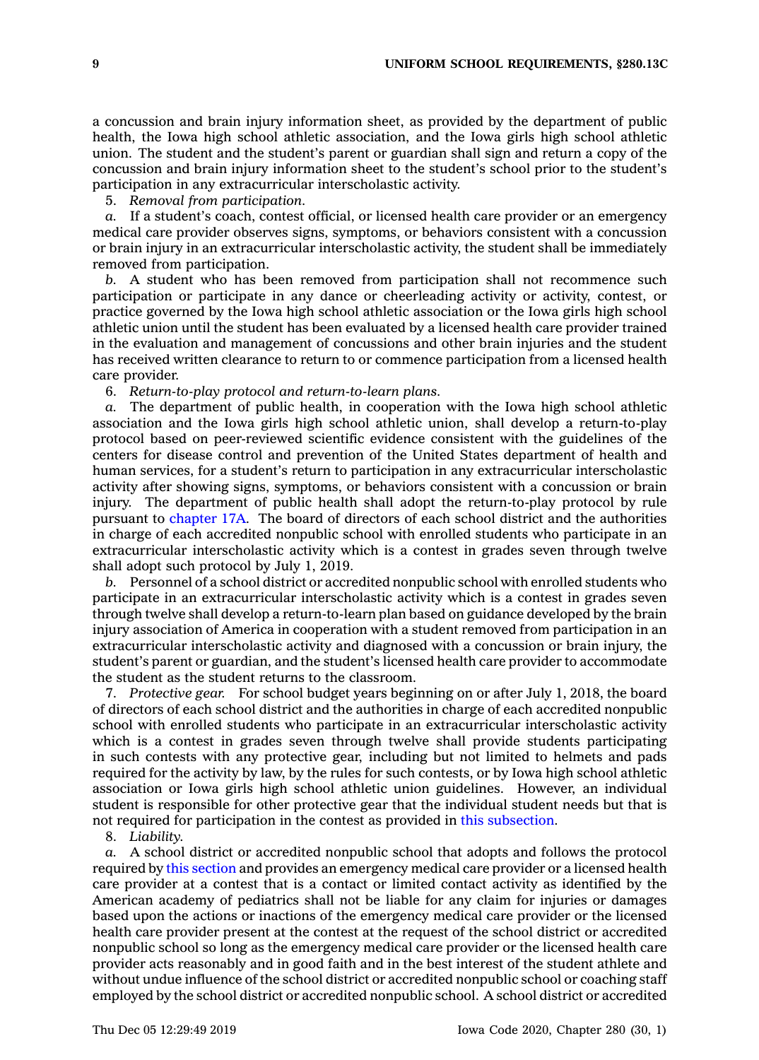<sup>a</sup> concussion and brain injury information sheet, as provided by the department of public health, the Iowa high school athletic association, and the Iowa girls high school athletic union. The student and the student's parent or guardian shall sign and return <sup>a</sup> copy of the concussion and brain injury information sheet to the student's school prior to the student's participation in any extracurricular interscholastic activity.

5. *Removal from participation.*

*a.* If <sup>a</sup> student's coach, contest official, or licensed health care provider or an emergency medical care provider observes signs, symptoms, or behaviors consistent with <sup>a</sup> concussion or brain injury in an extracurricular interscholastic activity, the student shall be immediately removed from participation.

*b.* A student who has been removed from participation shall not recommence such participation or participate in any dance or cheerleading activity or activity, contest, or practice governed by the Iowa high school athletic association or the Iowa girls high school athletic union until the student has been evaluated by <sup>a</sup> licensed health care provider trained in the evaluation and management of concussions and other brain injuries and the student has received written clearance to return to or commence participation from <sup>a</sup> licensed health care provider.

6. *Return-to-play protocol and return-to-learn plans.*

*a.* The department of public health, in cooperation with the Iowa high school athletic association and the Iowa girls high school athletic union, shall develop <sup>a</sup> return-to-play protocol based on peer-reviewed scientific evidence consistent with the guidelines of the centers for disease control and prevention of the United States department of health and human services, for <sup>a</sup> student's return to participation in any extracurricular interscholastic activity after showing signs, symptoms, or behaviors consistent with <sup>a</sup> concussion or brain injury. The department of public health shall adopt the return-to-play protocol by rule pursuant to [chapter](https://www.legis.iowa.gov/docs/code//17A.pdf) 17A. The board of directors of each school district and the authorities in charge of each accredited nonpublic school with enrolled students who participate in an extracurricular interscholastic activity which is <sup>a</sup> contest in grades seven through twelve shall adopt such protocol by July 1, 2019.

*b.* Personnel of <sup>a</sup> school district or accredited nonpublic school with enrolled students who participate in an extracurricular interscholastic activity which is <sup>a</sup> contest in grades seven through twelve shall develop <sup>a</sup> return-to-learn plan based on guidance developed by the brain injury association of America in cooperation with <sup>a</sup> student removed from participation in an extracurricular interscholastic activity and diagnosed with <sup>a</sup> concussion or brain injury, the student's parent or guardian, and the student's licensed health care provider to accommodate the student as the student returns to the classroom.

7. *Protective gear.* For school budget years beginning on or after July 1, 2018, the board of directors of each school district and the authorities in charge of each accredited nonpublic school with enrolled students who participate in an extracurricular interscholastic activity which is <sup>a</sup> contest in grades seven through twelve shall provide students participating in such contests with any protective gear, including but not limited to helmets and pads required for the activity by law, by the rules for such contests, or by Iowa high school athletic association or Iowa girls high school athletic union guidelines. However, an individual student is responsible for other protective gear that the individual student needs but that is not required for participation in the contest as provided in this [subsection](https://www.legis.iowa.gov/docs/code/280.13C.pdf).

8. *Liability.*

*a.* A school district or accredited nonpublic school that adopts and follows the protocol required by this [section](https://www.legis.iowa.gov/docs/code/280.13C.pdf) and provides an emergency medical care provider or <sup>a</sup> licensed health care provider at <sup>a</sup> contest that is <sup>a</sup> contact or limited contact activity as identified by the American academy of pediatrics shall not be liable for any claim for injuries or damages based upon the actions or inactions of the emergency medical care provider or the licensed health care provider present at the contest at the request of the school district or accredited nonpublic school so long as the emergency medical care provider or the licensed health care provider acts reasonably and in good faith and in the best interest of the student athlete and without undue influence of the school district or accredited nonpublic school or coaching staff employed by the school district or accredited nonpublic school. A school district or accredited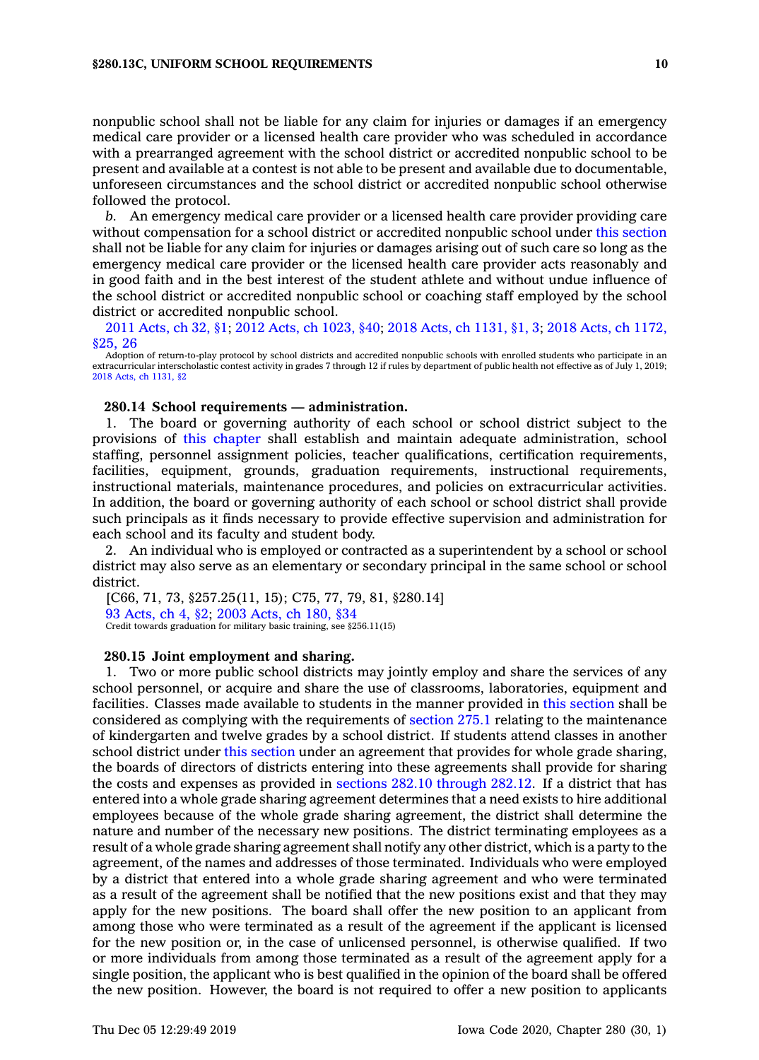nonpublic school shall not be liable for any claim for injuries or damages if an emergency medical care provider or <sup>a</sup> licensed health care provider who was scheduled in accordance with <sup>a</sup> prearranged agreement with the school district or accredited nonpublic school to be present and available at <sup>a</sup> contest is not able to be present and available due to documentable, unforeseen circumstances and the school district or accredited nonpublic school otherwise followed the protocol.

*b.* An emergency medical care provider or <sup>a</sup> licensed health care provider providing care without compensation for <sup>a</sup> school district or accredited nonpublic school under this [section](https://www.legis.iowa.gov/docs/code/280.13C.pdf) shall not be liable for any claim for injuries or damages arising out of such care so long as the emergency medical care provider or the licensed health care provider acts reasonably and in good faith and in the best interest of the student athlete and without undue influence of the school district or accredited nonpublic school or coaching staff employed by the school district or accredited nonpublic school.

2011 [Acts,](https://www.legis.iowa.gov/docs/acts/2011/CH0032.pdf) ch 32, §1; 2012 Acts, ch [1023,](https://www.legis.iowa.gov/docs/acts/2012/CH1023.pdf) §40; 2018 Acts, ch [1131,](https://www.legis.iowa.gov/docs/acts/2018/CH1131.pdf) §1, 3; 2018 Acts, ch [1172,](https://www.legis.iowa.gov/docs/acts/2018/CH1172.pdf) [§25,](https://www.legis.iowa.gov/docs/acts/2018/CH1172.pdf) 26

Adoption of return-to-play protocol by school districts and accredited nonpublic schools with enrolled students who participate in an extracurricular interscholastic contest activity in grades 7 through 12 if rules by department of public health not effective as of July 1, 2019; 2018 Acts, ch [1131,](https://www.legis.iowa.gov/docs/acts/2018/CH1131.pdf) §2

# **280.14 School requirements — administration.**

1. The board or governing authority of each school or school district subject to the provisions of this [chapter](https://www.legis.iowa.gov/docs/code//280.pdf) shall establish and maintain adequate administration, school staffing, personnel assignment policies, teacher qualifications, certification requirements, facilities, equipment, grounds, graduation requirements, instructional requirements, instructional materials, maintenance procedures, and policies on extracurricular activities. In addition, the board or governing authority of each school or school district shall provide such principals as it finds necessary to provide effective supervision and administration for each school and its faculty and student body.

2. An individual who is employed or contracted as <sup>a</sup> superintendent by <sup>a</sup> school or school district may also serve as an elementary or secondary principal in the same school or school district.

[C66, 71, 73, §257.25(11, 15); C75, 77, 79, 81, §280.14] 93 [Acts,](https://www.legis.iowa.gov/docs/acts/1993/CH0004.pdf) ch 4, §2; 2003 [Acts,](https://www.legis.iowa.gov/docs/acts/2003/CH0180.pdf) ch 180, §34 Credit towards graduation for military basic training, see §256.11(15)

#### **280.15 Joint employment and sharing.**

1. Two or more public school districts may jointly employ and share the services of any school personnel, or acquire and share the use of classrooms, laboratories, equipment and facilities. Classes made available to students in the manner provided in this [section](https://www.legis.iowa.gov/docs/code/280.15.pdf) shall be considered as complying with the requirements of [section](https://www.legis.iowa.gov/docs/code/275.1.pdf) 275.1 relating to the maintenance of kindergarten and twelve grades by <sup>a</sup> school district. If students attend classes in another school district under this [section](https://www.legis.iowa.gov/docs/code/280.15.pdf) under an agreement that provides for whole grade sharing, the boards of directors of districts entering into these agreements shall provide for sharing the costs and expenses as provided in sections 282.10 [through](https://www.legis.iowa.gov/docs/code/282.10.pdf) 282.12. If <sup>a</sup> district that has entered into <sup>a</sup> whole grade sharing agreement determines that <sup>a</sup> need exists to hire additional employees because of the whole grade sharing agreement, the district shall determine the nature and number of the necessary new positions. The district terminating employees as <sup>a</sup> result of <sup>a</sup> whole grade sharing agreement shall notify any other district, which is <sup>a</sup> party to the agreement, of the names and addresses of those terminated. Individuals who were employed by <sup>a</sup> district that entered into <sup>a</sup> whole grade sharing agreement and who were terminated as <sup>a</sup> result of the agreement shall be notified that the new positions exist and that they may apply for the new positions. The board shall offer the new position to an applicant from among those who were terminated as <sup>a</sup> result of the agreement if the applicant is licensed for the new position or, in the case of unlicensed personnel, is otherwise qualified. If two or more individuals from among those terminated as <sup>a</sup> result of the agreement apply for <sup>a</sup> single position, the applicant who is best qualified in the opinion of the board shall be offered the new position. However, the board is not required to offer <sup>a</sup> new position to applicants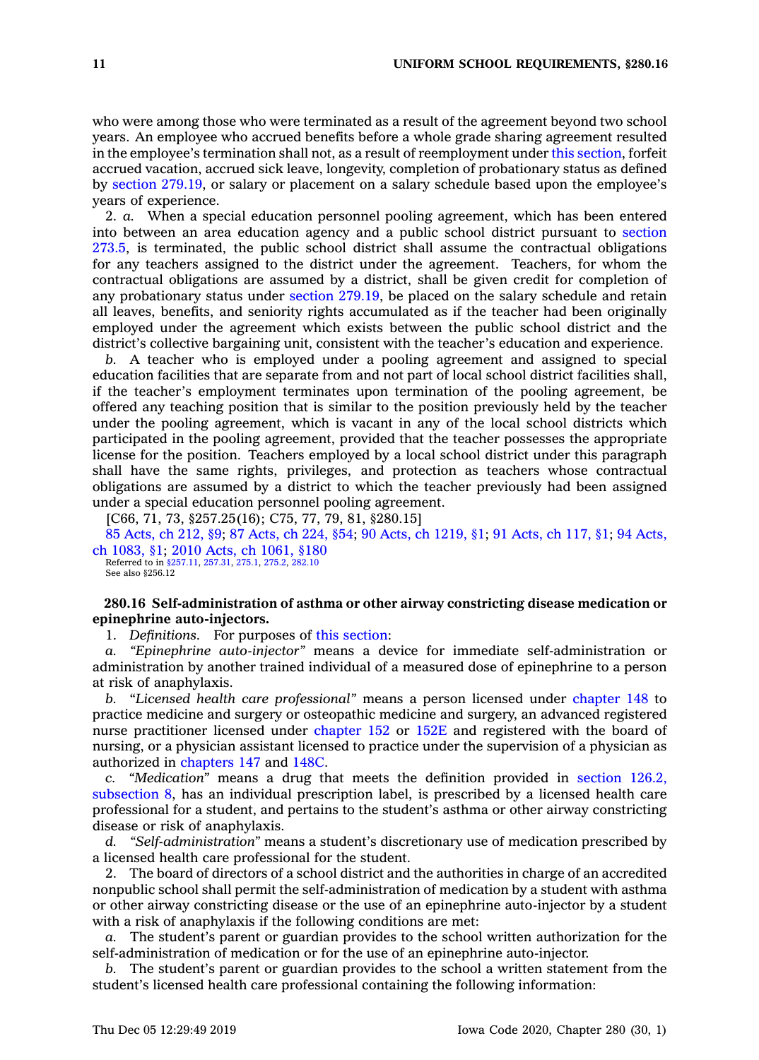who were among those who were terminated as <sup>a</sup> result of the agreement beyond two school years. An employee who accrued benefits before <sup>a</sup> whole grade sharing agreement resulted in the employee's termination shall not, as <sup>a</sup> result of reemployment under this [section](https://www.legis.iowa.gov/docs/code/280.15.pdf), forfeit accrued vacation, accrued sick leave, longevity, completion of probationary status as defined by section [279.19](https://www.legis.iowa.gov/docs/code/279.19.pdf), or salary or placement on <sup>a</sup> salary schedule based upon the employee's years of experience.

2. *a.* When <sup>a</sup> special education personnel pooling agreement, which has been entered into between an area education agency and <sup>a</sup> public school district pursuant to [section](https://www.legis.iowa.gov/docs/code/273.5.pdf) [273.5](https://www.legis.iowa.gov/docs/code/273.5.pdf), is terminated, the public school district shall assume the contractual obligations for any teachers assigned to the district under the agreement. Teachers, for whom the contractual obligations are assumed by <sup>a</sup> district, shall be given credit for completion of any probationary status under section [279.19](https://www.legis.iowa.gov/docs/code/279.19.pdf), be placed on the salary schedule and retain all leaves, benefits, and seniority rights accumulated as if the teacher had been originally employed under the agreement which exists between the public school district and the district's collective bargaining unit, consistent with the teacher's education and experience.

*b.* A teacher who is employed under <sup>a</sup> pooling agreement and assigned to special education facilities that are separate from and not part of local school district facilities shall, if the teacher's employment terminates upon termination of the pooling agreement, be offered any teaching position that is similar to the position previously held by the teacher under the pooling agreement, which is vacant in any of the local school districts which participated in the pooling agreement, provided that the teacher possesses the appropriate license for the position. Teachers employed by <sup>a</sup> local school district under this paragraph shall have the same rights, privileges, and protection as teachers whose contractual obligations are assumed by <sup>a</sup> district to which the teacher previously had been assigned under <sup>a</sup> special education personnel pooling agreement.

[C66, 71, 73, §257.25(16); C75, 77, 79, 81, §280.15]

85 [Acts,](https://www.legis.iowa.gov/docs/acts/85/CH0212.pdf) ch 212, §9; 87 [Acts,](https://www.legis.iowa.gov/docs/acts/87/CH0224.pdf) ch 224, §54; 90 Acts, ch [1219,](https://www.legis.iowa.gov/docs/acts/90/CH1219.pdf) §1; 91 [Acts,](https://www.legis.iowa.gov/docs/acts/91/CH0117.pdf) ch 117, §1; 94 [Acts,](https://www.legis.iowa.gov/docs/acts/94/CH1083.pdf) ch [1083,](https://www.legis.iowa.gov/docs/acts/94/CH1083.pdf) §1; 2010 Acts, ch [1061,](https://www.legis.iowa.gov/docs/acts/2010/CH1061.pdf) §180 Referred to in [§257.11](https://www.legis.iowa.gov/docs/code/257.11.pdf), [257.31](https://www.legis.iowa.gov/docs/code/257.31.pdf), [275.1](https://www.legis.iowa.gov/docs/code/275.1.pdf), [275.2](https://www.legis.iowa.gov/docs/code/275.2.pdf), [282.10](https://www.legis.iowa.gov/docs/code/282.10.pdf)

See also §256.12

# **280.16 Self-administration of asthma or other airway constricting disease medication or epinephrine auto-injectors.**

1. *Definitions.* For purposes of this [section](https://www.legis.iowa.gov/docs/code/280.16.pdf):

*a. "Epinephrine auto-injector"* means <sup>a</sup> device for immediate self-administration or administration by another trained individual of <sup>a</sup> measured dose of epinephrine to <sup>a</sup> person at risk of anaphylaxis.

*b.* "*Licensed health care professional"* means <sup>a</sup> person licensed under [chapter](https://www.legis.iowa.gov/docs/code//148.pdf) 148 to practice medicine and surgery or osteopathic medicine and surgery, an advanced registered nurse practitioner licensed under [chapter](https://www.legis.iowa.gov/docs/code//152.pdf) 152 or [152E](https://www.legis.iowa.gov/docs/code//152E.pdf) and registered with the board of nursing, or <sup>a</sup> physician assistant licensed to practice under the supervision of <sup>a</sup> physician as authorized in [chapters](https://www.legis.iowa.gov/docs/code//147.pdf) 147 and [148C](https://www.legis.iowa.gov/docs/code//148C.pdf).

*c. "Medication"* means <sup>a</sup> drug that meets the definition provided in [section](https://www.legis.iowa.gov/docs/code/126.2.pdf) 126.2, [subsection](https://www.legis.iowa.gov/docs/code/126.2.pdf) 8, has an individual prescription label, is prescribed by <sup>a</sup> licensed health care professional for <sup>a</sup> student, and pertains to the student's asthma or other airway constricting disease or risk of anaphylaxis.

*d. "Self-administration"* means <sup>a</sup> student's discretionary use of medication prescribed by <sup>a</sup> licensed health care professional for the student.

2. The board of directors of <sup>a</sup> school district and the authorities in charge of an accredited nonpublic school shall permit the self-administration of medication by <sup>a</sup> student with asthma or other airway constricting disease or the use of an epinephrine auto-injector by <sup>a</sup> student with <sup>a</sup> risk of anaphylaxis if the following conditions are met:

*a.* The student's parent or guardian provides to the school written authorization for the self-administration of medication or for the use of an epinephrine auto-injector.

*b.* The student's parent or guardian provides to the school <sup>a</sup> written statement from the student's licensed health care professional containing the following information: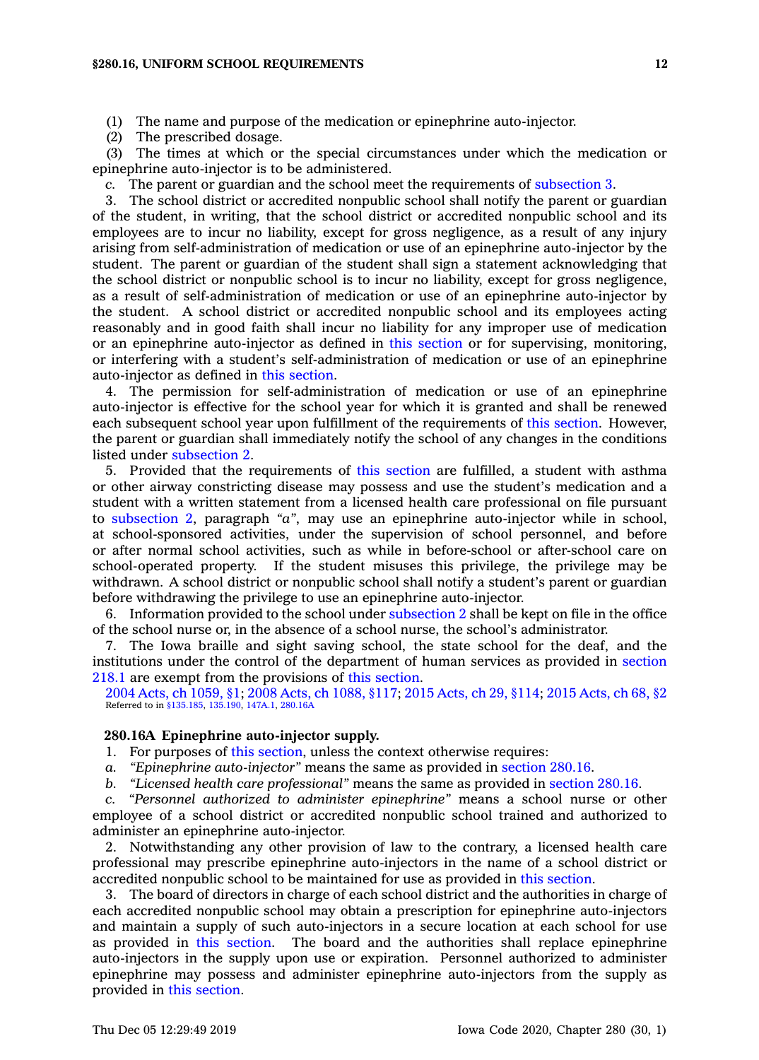(1) The name and purpose of the medication or epinephrine auto-injector.

(2) The prescribed dosage.

(3) The times at which or the special circumstances under which the medication or epinephrine auto-injector is to be administered.

*c.* The parent or guardian and the school meet the requirements of [subsection](https://www.legis.iowa.gov/docs/code/280.16.pdf) 3.

3. The school district or accredited nonpublic school shall notify the parent or guardian of the student, in writing, that the school district or accredited nonpublic school and its employees are to incur no liability, except for gross negligence, as <sup>a</sup> result of any injury arising from self-administration of medication or use of an epinephrine auto-injector by the student. The parent or guardian of the student shall sign <sup>a</sup> statement acknowledging that the school district or nonpublic school is to incur no liability, except for gross negligence, as <sup>a</sup> result of self-administration of medication or use of an epinephrine auto-injector by the student. A school district or accredited nonpublic school and its employees acting reasonably and in good faith shall incur no liability for any improper use of medication or an epinephrine auto-injector as defined in this [section](https://www.legis.iowa.gov/docs/code/280.16.pdf) or for supervising, monitoring, or interfering with <sup>a</sup> student's self-administration of medication or use of an epinephrine auto-injector as defined in this [section](https://www.legis.iowa.gov/docs/code/280.16.pdf).

4. The permission for self-administration of medication or use of an epinephrine auto-injector is effective for the school year for which it is granted and shall be renewed each subsequent school year upon fulfillment of the requirements of this [section](https://www.legis.iowa.gov/docs/code/280.16.pdf). However, the parent or guardian shall immediately notify the school of any changes in the conditions listed under [subsection](https://www.legis.iowa.gov/docs/code/280.16.pdf) 2.

5. Provided that the requirements of this [section](https://www.legis.iowa.gov/docs/code/280.16.pdf) are fulfilled, <sup>a</sup> student with asthma or other airway constricting disease may possess and use the student's medication and <sup>a</sup> student with <sup>a</sup> written statement from <sup>a</sup> licensed health care professional on file pursuant to [subsection](https://www.legis.iowa.gov/docs/code/280.16.pdf) 2, paragraph *"a"*, may use an epinephrine auto-injector while in school, at school-sponsored activities, under the supervision of school personnel, and before or after normal school activities, such as while in before-school or after-school care on school-operated property. If the student misuses this privilege, the privilege may be withdrawn. A school district or nonpublic school shall notify <sup>a</sup> student's parent or guardian before withdrawing the privilege to use an epinephrine auto-injector.

6. Information provided to the school under [subsection](https://www.legis.iowa.gov/docs/code/280.16.pdf) 2 shall be kept on file in the office of the school nurse or, in the absence of <sup>a</sup> school nurse, the school's administrator.

7. The Iowa braille and sight saving school, the state school for the deaf, and the institutions under the control of the department of human services as provided in [section](https://www.legis.iowa.gov/docs/code/218.1.pdf) [218.1](https://www.legis.iowa.gov/docs/code/218.1.pdf) are exempt from the provisions of this [section](https://www.legis.iowa.gov/docs/code/280.16.pdf).

2004 Acts, ch [1059,](https://www.legis.iowa.gov/docs/acts/2004/CH1059.pdf) §1; 2008 Acts, ch [1088,](https://www.legis.iowa.gov/docs/acts/2008/CH1088.pdf) §117; 2015 [Acts,](https://www.legis.iowa.gov/docs/acts/2015/CH0029.pdf) ch 29, §114; 2015 [Acts,](https://www.legis.iowa.gov/docs/acts/2015/CH0068.pdf) ch 68, §2 Referred to in [§135.185](https://www.legis.iowa.gov/docs/code/135.185.pdf), [135.190](https://www.legis.iowa.gov/docs/code/135.190.pdf), [147A.1](https://www.legis.iowa.gov/docs/code/147A.1.pdf), [280.16A](https://www.legis.iowa.gov/docs/code/280.16A.pdf)

#### **280.16A Epinephrine auto-injector supply.**

1. For purposes of this [section](https://www.legis.iowa.gov/docs/code/280.16A.pdf), unless the context otherwise requires:

- *a. "Epinephrine auto-injector"* means the same as provided in [section](https://www.legis.iowa.gov/docs/code/280.16.pdf) 280.16.
- *b. "Licensed health care professional"* means the same as provided in [section](https://www.legis.iowa.gov/docs/code/280.16.pdf) 280.16.

*c. "Personnel authorized to administer epinephrine"* means <sup>a</sup> school nurse or other employee of <sup>a</sup> school district or accredited nonpublic school trained and authorized to administer an epinephrine auto-injector.

2. Notwithstanding any other provision of law to the contrary, <sup>a</sup> licensed health care professional may prescribe epinephrine auto-injectors in the name of <sup>a</sup> school district or accredited nonpublic school to be maintained for use as provided in this [section](https://www.legis.iowa.gov/docs/code/280.16A.pdf).

3. The board of directors in charge of each school district and the authorities in charge of each accredited nonpublic school may obtain <sup>a</sup> prescription for epinephrine auto-injectors and maintain <sup>a</sup> supply of such auto-injectors in <sup>a</sup> secure location at each school for use as provided in this [section](https://www.legis.iowa.gov/docs/code/280.16A.pdf). The board and the authorities shall replace epinephrine auto-injectors in the supply upon use or expiration. Personnel authorized to administer epinephrine may possess and administer epinephrine auto-injectors from the supply as provided in this [section](https://www.legis.iowa.gov/docs/code/280.16A.pdf).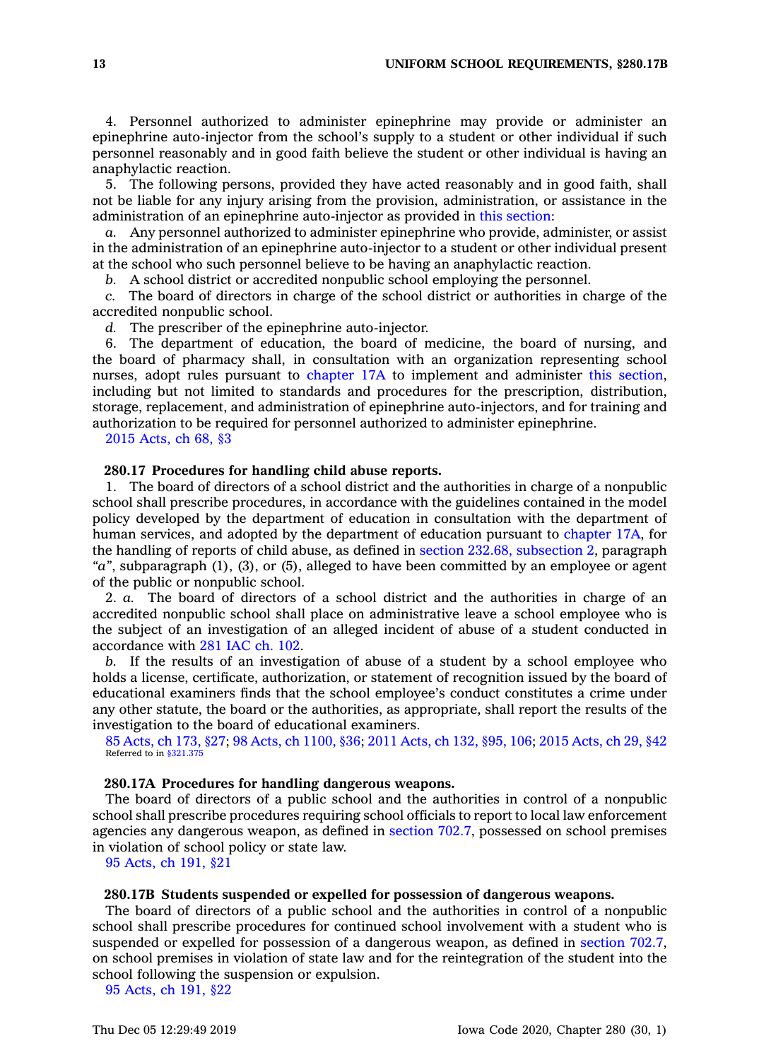4. Personnel authorized to administer epinephrine may provide or administer an epinephrine auto-injector from the school's supply to <sup>a</sup> student or other individual if such personnel reasonably and in good faith believe the student or other individual is having an anaphylactic reaction.

5. The following persons, provided they have acted reasonably and in good faith, shall not be liable for any injury arising from the provision, administration, or assistance in the administration of an epinephrine auto-injector as provided in this [section](https://www.legis.iowa.gov/docs/code/280.16A.pdf):

*a.* Any personnel authorized to administer epinephrine who provide, administer, or assist in the administration of an epinephrine auto-injector to <sup>a</sup> student or other individual present at the school who such personnel believe to be having an anaphylactic reaction.

*b.* A school district or accredited nonpublic school employing the personnel.

*c.* The board of directors in charge of the school district or authorities in charge of the accredited nonpublic school.

*d.* The prescriber of the epinephrine auto-injector.

6. The department of education, the board of medicine, the board of nursing, and the board of pharmacy shall, in consultation with an organization representing school nurses, adopt rules pursuant to [chapter](https://www.legis.iowa.gov/docs/code//17A.pdf) 17A to implement and administer this [section](https://www.legis.iowa.gov/docs/code/280.16A.pdf), including but not limited to standards and procedures for the prescription, distribution, storage, replacement, and administration of epinephrine auto-injectors, and for training and authorization to be required for personnel authorized to administer epinephrine.

2015 [Acts,](https://www.legis.iowa.gov/docs/acts/2015/CH0068.pdf) ch 68, §3

### **280.17 Procedures for handling child abuse reports.**

1. The board of directors of <sup>a</sup> school district and the authorities in charge of <sup>a</sup> nonpublic school shall prescribe procedures, in accordance with the guidelines contained in the model policy developed by the department of education in consultation with the department of human services, and adopted by the department of education pursuant to [chapter](https://www.legis.iowa.gov/docs/code//17A.pdf) 17A, for the handling of reports of child abuse, as defined in section 232.68, [subsection](https://www.legis.iowa.gov/docs/code/232.68.pdf) 2, paragraph *"a"*, subparagraph (1), (3), or (5), alleged to have been committed by an employee or agent of the public or nonpublic school.

2. *a.* The board of directors of <sup>a</sup> school district and the authorities in charge of an accredited nonpublic school shall place on administrative leave <sup>a</sup> school employee who is the subject of an investigation of an alleged incident of abuse of <sup>a</sup> student conducted in accordance with 281 [IAC](https://www.legis.iowa.gov/docs/ACO/chapter/281.102.pdf) ch. 102.

*b.* If the results of an investigation of abuse of <sup>a</sup> student by <sup>a</sup> school employee who holds <sup>a</sup> license, certificate, authorization, or statement of recognition issued by the board of educational examiners finds that the school employee's conduct constitutes <sup>a</sup> crime under any other statute, the board or the authorities, as appropriate, shall report the results of the investigation to the board of educational examiners.

85 [Acts,](https://www.legis.iowa.gov/docs/acts/85/CH0173.pdf) ch 173, §27; 98 Acts, ch [1100,](https://www.legis.iowa.gov/docs/acts/98/CH1100.pdf) §36; 2011 [Acts,](https://www.legis.iowa.gov/docs/acts/2011/CH0132.pdf) ch 132, §95, 106; 2015 [Acts,](https://www.legis.iowa.gov/docs/acts/2015/CH0029.pdf) ch 29, §42 Referred to in [§321.375](https://www.legis.iowa.gov/docs/code/321.375.pdf)

#### **280.17A Procedures for handling dangerous weapons.**

The board of directors of <sup>a</sup> public school and the authorities in control of <sup>a</sup> nonpublic school shall prescribe procedures requiring school officials to report to local law enforcement agencies any dangerous weapon, as defined in [section](https://www.legis.iowa.gov/docs/code/702.7.pdf) 702.7, possessed on school premises in violation of school policy or state law.

95 [Acts,](https://www.legis.iowa.gov/docs/acts/1995/CH0191.pdf) ch 191, §21

### **280.17B Students suspended or expelled for possession of dangerous weapons.**

The board of directors of <sup>a</sup> public school and the authorities in control of <sup>a</sup> nonpublic school shall prescribe procedures for continued school involvement with <sup>a</sup> student who is suspended or expelled for possession of <sup>a</sup> dangerous weapon, as defined in [section](https://www.legis.iowa.gov/docs/code/702.7.pdf) 702.7, on school premises in violation of state law and for the reintegration of the student into the school following the suspension or expulsion.

95 [Acts,](https://www.legis.iowa.gov/docs/acts/1995/CH0191.pdf) ch 191, §22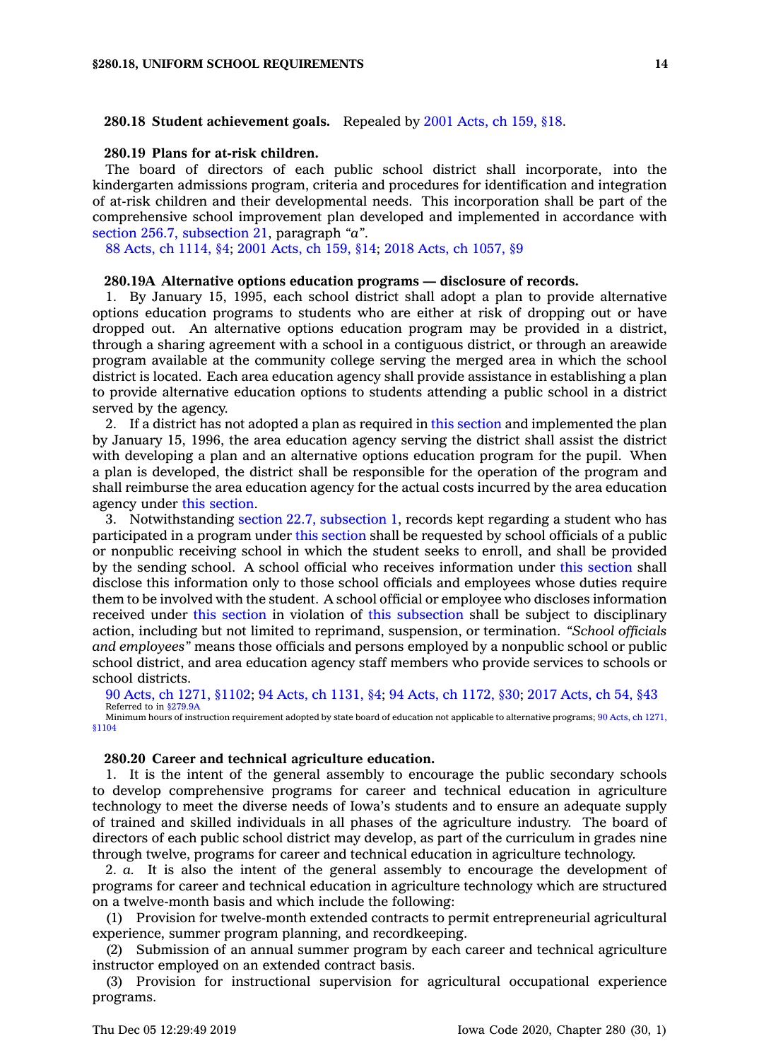#### **280.18 Student achievement goals.** Repealed by 2001 [Acts,](https://www.legis.iowa.gov/docs/acts/2001/CH0159.pdf) ch 159, §18.

### **280.19 Plans for at-risk children.**

The board of directors of each public school district shall incorporate, into the kindergarten admissions program, criteria and procedures for identification and integration of at-risk children and their developmental needs. This incorporation shall be part of the comprehensive school improvement plan developed and implemented in accordance with section 256.7, [subsection](https://www.legis.iowa.gov/docs/code/256.7.pdf) 21, paragraph *"a"*.

88 Acts, ch [1114,](https://www.legis.iowa.gov/docs/acts/88/CH1114.pdf) §4; 2001 [Acts,](https://www.legis.iowa.gov/docs/acts/2001/CH0159.pdf) ch 159, §14; 2018 Acts, ch [1057,](https://www.legis.iowa.gov/docs/acts/2018/CH1057.pdf) §9

### **280.19A Alternative options education programs — disclosure of records.**

1. By January 15, 1995, each school district shall adopt <sup>a</sup> plan to provide alternative options education programs to students who are either at risk of dropping out or have dropped out. An alternative options education program may be provided in <sup>a</sup> district, through <sup>a</sup> sharing agreement with <sup>a</sup> school in <sup>a</sup> contiguous district, or through an areawide program available at the community college serving the merged area in which the school district is located. Each area education agency shall provide assistance in establishing <sup>a</sup> plan to provide alternative education options to students attending <sup>a</sup> public school in <sup>a</sup> district served by the agency.

2. If <sup>a</sup> district has not adopted <sup>a</sup> plan as required in this [section](https://www.legis.iowa.gov/docs/code/280.19A.pdf) and implemented the plan by January 15, 1996, the area education agency serving the district shall assist the district with developing <sup>a</sup> plan and an alternative options education program for the pupil. When <sup>a</sup> plan is developed, the district shall be responsible for the operation of the program and shall reimburse the area education agency for the actual costs incurred by the area education agency under this [section](https://www.legis.iowa.gov/docs/code/280.19A.pdf).

3. Notwithstanding section 22.7, [subsection](https://www.legis.iowa.gov/docs/code/22.7.pdf) 1, records kept regarding <sup>a</sup> student who has participated in <sup>a</sup> program under this [section](https://www.legis.iowa.gov/docs/code/280.19A.pdf) shall be requested by school officials of <sup>a</sup> public or nonpublic receiving school in which the student seeks to enroll, and shall be provided by the sending school. A school official who receives information under this [section](https://www.legis.iowa.gov/docs/code/280.19A.pdf) shall disclose this information only to those school officials and employees whose duties require them to be involved with the student. A school official or employee who discloses information received under this [section](https://www.legis.iowa.gov/docs/code/280.19A.pdf) in violation of this [subsection](https://www.legis.iowa.gov/docs/code/280.19A.pdf) shall be subject to disciplinary action, including but not limited to reprimand, suspension, or termination. *"School officials and employees"* means those officials and persons employed by <sup>a</sup> nonpublic school or public school district, and area education agency staff members who provide services to schools or school districts.

90 Acts, ch 1271, [§1102](https://www.legis.iowa.gov/docs/acts/90/CH1271.pdf); 94 Acts, ch [1131,](https://www.legis.iowa.gov/docs/acts/94/CH1131.pdf) §4; 94 Acts, ch [1172,](https://www.legis.iowa.gov/docs/acts/94/CH1172.pdf) §30; 2017 [Acts,](https://www.legis.iowa.gov/docs/acts/2017/CH0054.pdf) ch 54, §43 Referred to in [§279.9A](https://www.legis.iowa.gov/docs/code/279.9A.pdf)

Minimum hours of instruction requirement adopted by state board of education not applicable to alternative programs; 90 Acts, ch [1271,](https://www.legis.iowa.gov/docs/acts/90/CH1271.pdf) [§1104](https://www.legis.iowa.gov/docs/acts/90/CH1271.pdf)

#### **280.20 Career and technical agriculture education.**

1. It is the intent of the general assembly to encourage the public secondary schools to develop comprehensive programs for career and technical education in agriculture technology to meet the diverse needs of Iowa's students and to ensure an adequate supply of trained and skilled individuals in all phases of the agriculture industry. The board of directors of each public school district may develop, as part of the curriculum in grades nine through twelve, programs for career and technical education in agriculture technology.

2. *a.* It is also the intent of the general assembly to encourage the development of programs for career and technical education in agriculture technology which are structured on <sup>a</sup> twelve-month basis and which include the following:

(1) Provision for twelve-month extended contracts to permit entrepreneurial agricultural experience, summer program planning, and recordkeeping.

(2) Submission of an annual summer program by each career and technical agriculture instructor employed on an extended contract basis.

(3) Provision for instructional supervision for agricultural occupational experience programs.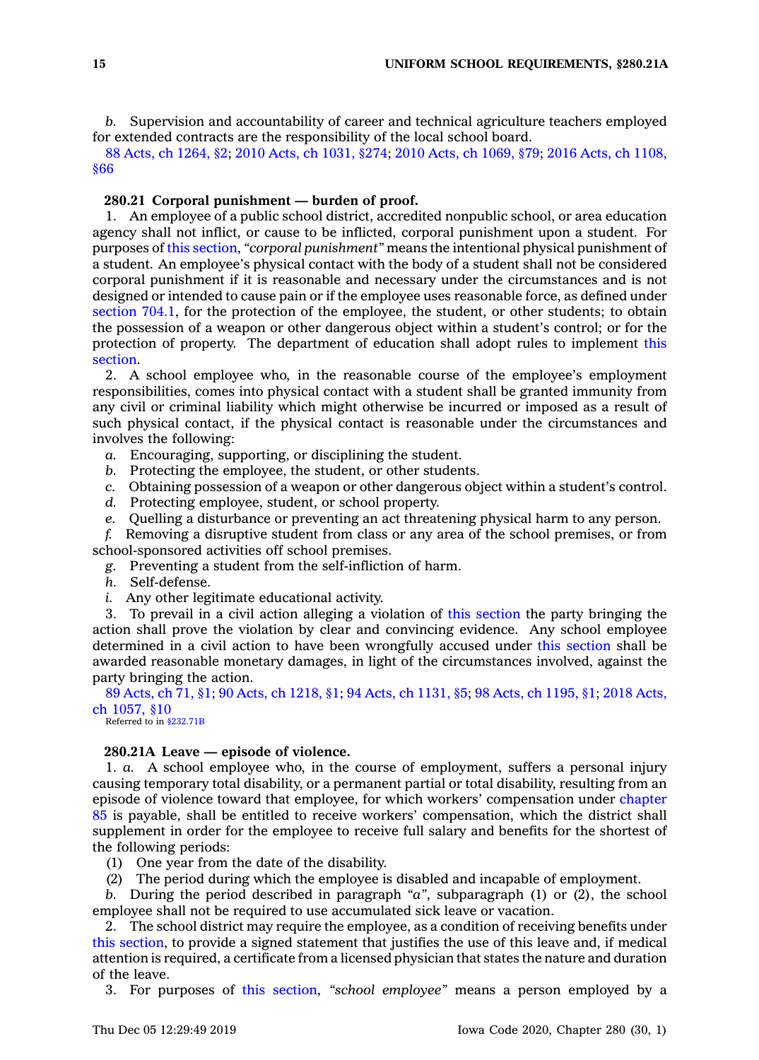*b.* Supervision and accountability of career and technical agriculture teachers employed for extended contracts are the responsibility of the local school board.

88 Acts, ch [1264,](https://www.legis.iowa.gov/docs/acts/88/CH1264.pdf) §2; 2010 Acts, ch [1031,](https://www.legis.iowa.gov/docs/acts/2010/CH1031.pdf) §274; 2010 Acts, ch [1069,](https://www.legis.iowa.gov/docs/acts/2010/CH1069.pdf) §79; 2016 Acts, ch [1108,](https://www.legis.iowa.gov/docs/acts/2016/CH1108.pdf) [§66](https://www.legis.iowa.gov/docs/acts/2016/CH1108.pdf)

### **280.21 Corporal punishment — burden of proof.**

1. An employee of <sup>a</sup> public school district, accredited nonpublic school, or area education agency shall not inflict, or cause to be inflicted, corporal punishment upon <sup>a</sup> student. For purposes of this [section](https://www.legis.iowa.gov/docs/code/280.21.pdf), *"corporal punishment"* means the intentional physical punishment of <sup>a</sup> student. An employee's physical contact with the body of <sup>a</sup> student shall not be considered corporal punishment if it is reasonable and necessary under the circumstances and is not designed or intended to cause pain or if the employee uses reasonable force, as defined under [section](https://www.legis.iowa.gov/docs/code/704.1.pdf) 704.1, for the protection of the employee, the student, or other students; to obtain the possession of <sup>a</sup> weapon or other dangerous object within <sup>a</sup> student's control; or for the protection of property. The department of education shall adopt rules to implement [this](https://www.legis.iowa.gov/docs/code/280.21.pdf) [section](https://www.legis.iowa.gov/docs/code/280.21.pdf).

2. A school employee who, in the reasonable course of the employee's employment responsibilities, comes into physical contact with <sup>a</sup> student shall be granted immunity from any civil or criminal liability which might otherwise be incurred or imposed as <sup>a</sup> result of such physical contact, if the physical contact is reasonable under the circumstances and involves the following:

*a.* Encouraging, supporting, or disciplining the student.

- *b.* Protecting the employee, the student, or other students.
- *c.* Obtaining possession of <sup>a</sup> weapon or other dangerous object within <sup>a</sup> student's control.
- *d.* Protecting employee, student, or school property.
- *e.* Quelling <sup>a</sup> disturbance or preventing an act threatening physical harm to any person.

*f.* Removing <sup>a</sup> disruptive student from class or any area of the school premises, or from school-sponsored activities off school premises.

*g.* Preventing <sup>a</sup> student from the self-infliction of harm.

- *h.* Self-defense.
- *i.* Any other legitimate educational activity.

3. To prevail in <sup>a</sup> civil action alleging <sup>a</sup> violation of this [section](https://www.legis.iowa.gov/docs/code/280.21.pdf) the party bringing the action shall prove the violation by clear and convincing evidence. Any school employee determined in <sup>a</sup> civil action to have been wrongfully accused under this [section](https://www.legis.iowa.gov/docs/code/280.21.pdf) shall be awarded reasonable monetary damages, in light of the circumstances involved, against the party bringing the action.

89 [Acts,](https://www.legis.iowa.gov/docs/acts/89/CH0071.pdf) ch 71, §1; 90 Acts, ch [1218,](https://www.legis.iowa.gov/docs/acts/90/CH1218.pdf) §1; 94 Acts, ch [1131,](https://www.legis.iowa.gov/docs/acts/94/CH1131.pdf) §5; 98 Acts, ch [1195,](https://www.legis.iowa.gov/docs/acts/98/CH1195.pdf) §1; 2018 [Acts,](https://www.legis.iowa.gov/docs/acts/2018/CH1057.pdf) ch [1057,](https://www.legis.iowa.gov/docs/acts/2018/CH1057.pdf) §10

Referred to in [§232.71B](https://www.legis.iowa.gov/docs/code/232.71B.pdf)

### **280.21A Leave — episode of violence.**

1. *a.* A school employee who, in the course of employment, suffers <sup>a</sup> personal injury causing temporary total disability, or <sup>a</sup> permanent partial or total disability, resulting from an episode of violence toward that employee, for which workers' compensation under [chapter](https://www.legis.iowa.gov/docs/code//85.pdf) [85](https://www.legis.iowa.gov/docs/code//85.pdf) is payable, shall be entitled to receive workers' compensation, which the district shall supplement in order for the employee to receive full salary and benefits for the shortest of the following periods:

(1) One year from the date of the disability.

(2) The period during which the employee is disabled and incapable of employment.

*b.* During the period described in paragraph *"a"*, subparagraph (1) or (2), the school employee shall not be required to use accumulated sick leave or vacation.

2. The school district may require the employee, as <sup>a</sup> condition of receiving benefits under this [section](https://www.legis.iowa.gov/docs/code/280.21A.pdf), to provide <sup>a</sup> signed statement that justifies the use of this leave and, if medical attention is required, <sup>a</sup> certificate from <sup>a</sup> licensed physician that states the nature and duration of the leave.

3. For purposes of this [section](https://www.legis.iowa.gov/docs/code/280.21A.pdf), *"school employee"* means <sup>a</sup> person employed by <sup>a</sup>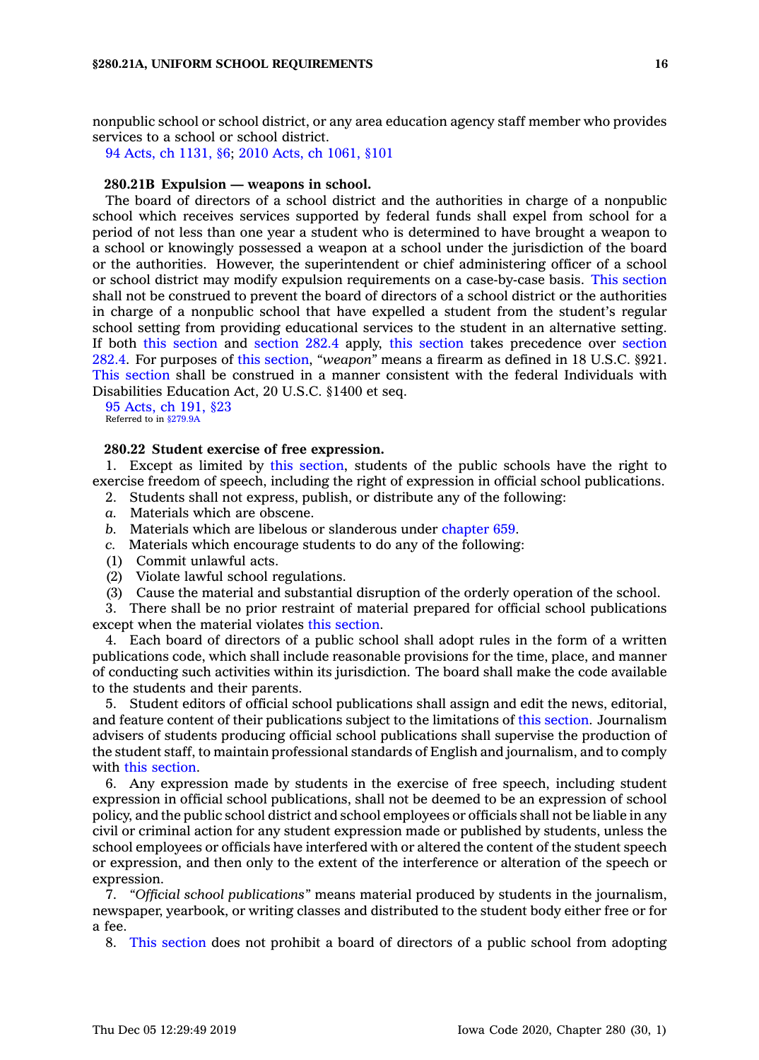nonpublic school or school district, or any area education agency staff member who provides services to <sup>a</sup> school or school district.

94 Acts, ch [1131,](https://www.legis.iowa.gov/docs/acts/94/CH1131.pdf) §6; 2010 Acts, ch [1061,](https://www.legis.iowa.gov/docs/acts/2010/CH1061.pdf) §101

### **280.21B Expulsion — weapons in school.**

The board of directors of <sup>a</sup> school district and the authorities in charge of <sup>a</sup> nonpublic school which receives services supported by federal funds shall expel from school for <sup>a</sup> period of not less than one year <sup>a</sup> student who is determined to have brought <sup>a</sup> weapon to <sup>a</sup> school or knowingly possessed <sup>a</sup> weapon at <sup>a</sup> school under the jurisdiction of the board or the authorities. However, the superintendent or chief administering officer of <sup>a</sup> school or school district may modify expulsion requirements on <sup>a</sup> case-by-case basis. This [section](https://www.legis.iowa.gov/docs/code/280.21B.pdf) shall not be construed to prevent the board of directors of <sup>a</sup> school district or the authorities in charge of <sup>a</sup> nonpublic school that have expelled <sup>a</sup> student from the student's regular school setting from providing educational services to the student in an alternative setting. If both this [section](https://www.legis.iowa.gov/docs/code/280.21B.pdf) and [section](https://www.legis.iowa.gov/docs/code/282.4.pdf) 282.4 apply, this [section](https://www.legis.iowa.gov/docs/code/280.21B.pdf) takes precedence over [section](https://www.legis.iowa.gov/docs/code/282.4.pdf) [282.4](https://www.legis.iowa.gov/docs/code/282.4.pdf). For purposes of this [section](https://www.legis.iowa.gov/docs/code/280.21B.pdf), *"weapon"* means <sup>a</sup> firearm as defined in 18 U.S.C. §921. This [section](https://www.legis.iowa.gov/docs/code/280.21B.pdf) shall be construed in <sup>a</sup> manner consistent with the federal Individuals with Disabilities Education Act, 20 U.S.C. §1400 et seq.

95 [Acts,](https://www.legis.iowa.gov/docs/acts/1995/CH0191.pdf) ch 191, §23 Referred to in [§279.9A](https://www.legis.iowa.gov/docs/code/279.9A.pdf)

### **280.22 Student exercise of free expression.**

1. Except as limited by this [section](https://www.legis.iowa.gov/docs/code/280.22.pdf), students of the public schools have the right to exercise freedom of speech, including the right of expression in official school publications.

- 2. Students shall not express, publish, or distribute any of the following:
- *a.* Materials which are obscene.
- *b.* Materials which are libelous or slanderous under [chapter](https://www.legis.iowa.gov/docs/code//659.pdf) 659.
- *c.* Materials which encourage students to do any of the following:
- (1) Commit unlawful acts.
- (2) Violate lawful school regulations.
- (3) Cause the material and substantial disruption of the orderly operation of the school.

3. There shall be no prior restraint of material prepared for official school publications except when the material violates this [section](https://www.legis.iowa.gov/docs/code/280.22.pdf).

4. Each board of directors of <sup>a</sup> public school shall adopt rules in the form of <sup>a</sup> written publications code, which shall include reasonable provisions for the time, place, and manner of conducting such activities within its jurisdiction. The board shall make the code available to the students and their parents.

5. Student editors of official school publications shall assign and edit the news, editorial, and feature content of their publications subject to the limitations of this [section](https://www.legis.iowa.gov/docs/code/280.22.pdf). Journalism advisers of students producing official school publications shall supervise the production of the student staff, to maintain professional standards of English and journalism, and to comply with this [section](https://www.legis.iowa.gov/docs/code/280.22.pdf).

6. Any expression made by students in the exercise of free speech, including student expression in official school publications, shall not be deemed to be an expression of school policy, and the public school district and school employees or officials shall not be liable in any civil or criminal action for any student expression made or published by students, unless the school employees or officials have interfered with or altered the content of the student speech or expression, and then only to the extent of the interference or alteration of the speech or expression.

7. *"Official school publications"* means material produced by students in the journalism, newspaper, yearbook, or writing classes and distributed to the student body either free or for <sup>a</sup> fee.

8. This [section](https://www.legis.iowa.gov/docs/code/280.22.pdf) does not prohibit <sup>a</sup> board of directors of <sup>a</sup> public school from adopting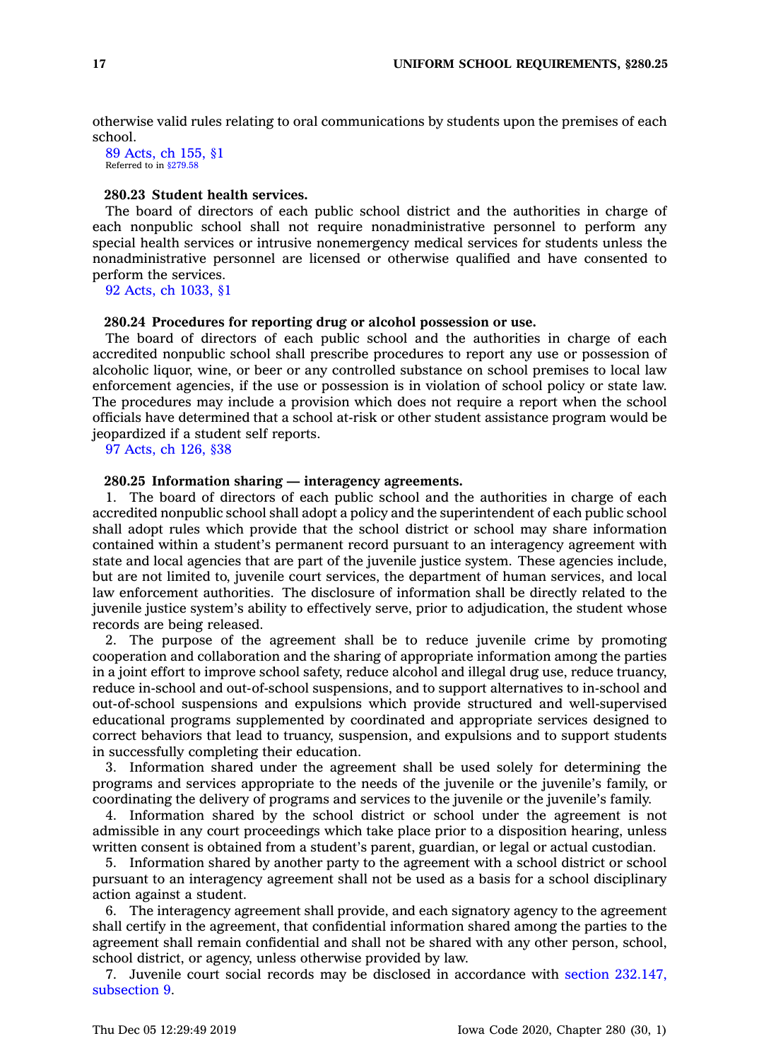otherwise valid rules relating to oral communications by students upon the premises of each school.

89 [Acts,](https://www.legis.iowa.gov/docs/acts/1989/CH0155.pdf) ch 155, §1 Referred to in [§279.58](https://www.legis.iowa.gov/docs/code/279.58.pdf)

# **280.23 Student health services.**

The board of directors of each public school district and the authorities in charge of each nonpublic school shall not require nonadministrative personnel to perform any special health services or intrusive nonemergency medical services for students unless the nonadministrative personnel are licensed or otherwise qualified and have consented to perform the services.

92 Acts, ch [1033,](https://www.legis.iowa.gov/docs/acts/1992/CH1033.pdf) §1

#### **280.24 Procedures for reporting drug or alcohol possession or use.**

The board of directors of each public school and the authorities in charge of each accredited nonpublic school shall prescribe procedures to report any use or possession of alcoholic liquor, wine, or beer or any controlled substance on school premises to local law enforcement agencies, if the use or possession is in violation of school policy or state law. The procedures may include <sup>a</sup> provision which does not require <sup>a</sup> report when the school officials have determined that <sup>a</sup> school at-risk or other student assistance program would be jeopardized if <sup>a</sup> student self reports.

97 [Acts,](https://www.legis.iowa.gov/docs/acts/1997/CH0126.pdf) ch 126, §38

#### **280.25 Information sharing — interagency agreements.**

1. The board of directors of each public school and the authorities in charge of each accredited nonpublic school shall adopt <sup>a</sup> policy and the superintendent of each public school shall adopt rules which provide that the school district or school may share information contained within <sup>a</sup> student's permanent record pursuant to an interagency agreement with state and local agencies that are part of the juvenile justice system. These agencies include, but are not limited to, juvenile court services, the department of human services, and local law enforcement authorities. The disclosure of information shall be directly related to the juvenile justice system's ability to effectively serve, prior to adjudication, the student whose records are being released.

2. The purpose of the agreement shall be to reduce juvenile crime by promoting cooperation and collaboration and the sharing of appropriate information among the parties in <sup>a</sup> joint effort to improve school safety, reduce alcohol and illegal drug use, reduce truancy, reduce in-school and out-of-school suspensions, and to support alternatives to in-school and out-of-school suspensions and expulsions which provide structured and well-supervised educational programs supplemented by coordinated and appropriate services designed to correct behaviors that lead to truancy, suspension, and expulsions and to support students in successfully completing their education.

3. Information shared under the agreement shall be used solely for determining the programs and services appropriate to the needs of the juvenile or the juvenile's family, or coordinating the delivery of programs and services to the juvenile or the juvenile's family.

4. Information shared by the school district or school under the agreement is not admissible in any court proceedings which take place prior to <sup>a</sup> disposition hearing, unless written consent is obtained from <sup>a</sup> student's parent, guardian, or legal or actual custodian.

5. Information shared by another party to the agreement with <sup>a</sup> school district or school pursuant to an interagency agreement shall not be used as <sup>a</sup> basis for <sup>a</sup> school disciplinary action against <sup>a</sup> student.

6. The interagency agreement shall provide, and each signatory agency to the agreement shall certify in the agreement, that confidential information shared among the parties to the agreement shall remain confidential and shall not be shared with any other person, school, school district, or agency, unless otherwise provided by law.

7. Juvenile court social records may be disclosed in accordance with section [232.147,](https://www.legis.iowa.gov/docs/code/232.147.pdf) [subsection](https://www.legis.iowa.gov/docs/code/232.147.pdf) 9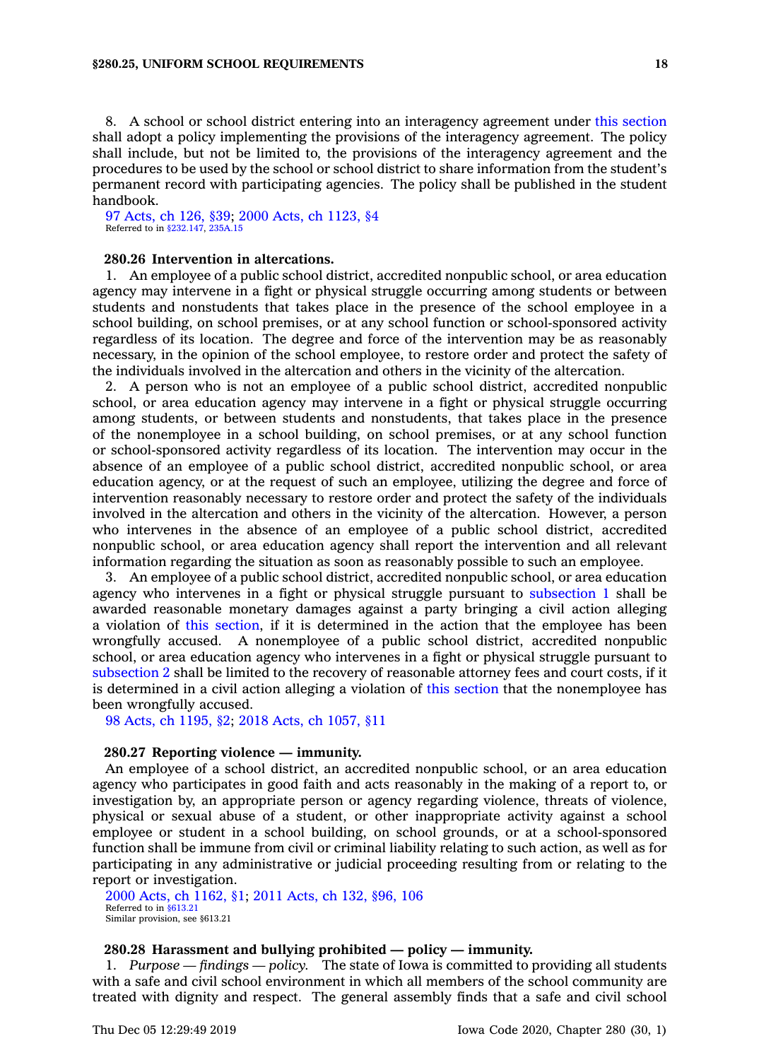8. A school or school district entering into an interagency agreement under this [section](https://www.legis.iowa.gov/docs/code/280.25.pdf) shall adopt <sup>a</sup> policy implementing the provisions of the interagency agreement. The policy shall include, but not be limited to, the provisions of the interagency agreement and the procedures to be used by the school or school district to share information from the student's permanent record with participating agencies. The policy shall be published in the student handbook.

97 [Acts,](https://www.legis.iowa.gov/docs/acts/1997/CH0126.pdf) ch 126, §39; 2000 Acts, ch [1123,](https://www.legis.iowa.gov/docs/acts/2000/CH1123.pdf) §4 Referred to in [§232.147](https://www.legis.iowa.gov/docs/code/232.147.pdf), [235A.15](https://www.legis.iowa.gov/docs/code/235A.15.pdf)

# **280.26 Intervention in altercations.**

1. An employee of <sup>a</sup> public school district, accredited nonpublic school, or area education agency may intervene in <sup>a</sup> fight or physical struggle occurring among students or between students and nonstudents that takes place in the presence of the school employee in <sup>a</sup> school building, on school premises, or at any school function or school-sponsored activity regardless of its location. The degree and force of the intervention may be as reasonably necessary, in the opinion of the school employee, to restore order and protect the safety of the individuals involved in the altercation and others in the vicinity of the altercation.

2. A person who is not an employee of <sup>a</sup> public school district, accredited nonpublic school, or area education agency may intervene in <sup>a</sup> fight or physical struggle occurring among students, or between students and nonstudents, that takes place in the presence of the nonemployee in <sup>a</sup> school building, on school premises, or at any school function or school-sponsored activity regardless of its location. The intervention may occur in the absence of an employee of <sup>a</sup> public school district, accredited nonpublic school, or area education agency, or at the request of such an employee, utilizing the degree and force of intervention reasonably necessary to restore order and protect the safety of the individuals involved in the altercation and others in the vicinity of the altercation. However, <sup>a</sup> person who intervenes in the absence of an employee of <sup>a</sup> public school district, accredited nonpublic school, or area education agency shall report the intervention and all relevant information regarding the situation as soon as reasonably possible to such an employee.

3. An employee of <sup>a</sup> public school district, accredited nonpublic school, or area education agency who intervenes in <sup>a</sup> fight or physical struggle pursuant to [subsection](https://www.legis.iowa.gov/docs/code/280.26.pdf) 1 shall be awarded reasonable monetary damages against <sup>a</sup> party bringing <sup>a</sup> civil action alleging <sup>a</sup> violation of this [section](https://www.legis.iowa.gov/docs/code/280.26.pdf), if it is determined in the action that the employee has been wrongfully accused. A nonemployee of <sup>a</sup> public school district, accredited nonpublic school, or area education agency who intervenes in <sup>a</sup> fight or physical struggle pursuant to [subsection](https://www.legis.iowa.gov/docs/code/280.26.pdf) 2 shall be limited to the recovery of reasonable attorney fees and court costs, if it is determined in <sup>a</sup> civil action alleging <sup>a</sup> violation of this [section](https://www.legis.iowa.gov/docs/code/280.26.pdf) that the nonemployee has been wrongfully accused.

98 Acts, ch [1195,](https://www.legis.iowa.gov/docs/acts/98/CH1195.pdf) §2; 2018 Acts, ch [1057,](https://www.legis.iowa.gov/docs/acts/2018/CH1057.pdf) §11

### **280.27 Reporting violence — immunity.**

An employee of <sup>a</sup> school district, an accredited nonpublic school, or an area education agency who participates in good faith and acts reasonably in the making of <sup>a</sup> report to, or investigation by, an appropriate person or agency regarding violence, threats of violence, physical or sexual abuse of <sup>a</sup> student, or other inappropriate activity against <sup>a</sup> school employee or student in <sup>a</sup> school building, on school grounds, or at <sup>a</sup> school-sponsored function shall be immune from civil or criminal liability relating to such action, as well as for participating in any administrative or judicial proceeding resulting from or relating to the report or investigation.

2000 Acts, ch [1162,](https://www.legis.iowa.gov/docs/acts/2000/CH1162.pdf) §1; 2011 [Acts,](https://www.legis.iowa.gov/docs/acts/2011/CH0132.pdf) ch 132, §96, 106 Referred to in [§613.21](https://www.legis.iowa.gov/docs/code/613.21.pdf) Similar provision, see §613.21

# **280.28 Harassment and bullying prohibited — policy — immunity.**

1. *Purpose — findings — policy.* The state of Iowa is committed to providing all students with <sup>a</sup> safe and civil school environment in which all members of the school community are treated with dignity and respect. The general assembly finds that <sup>a</sup> safe and civil school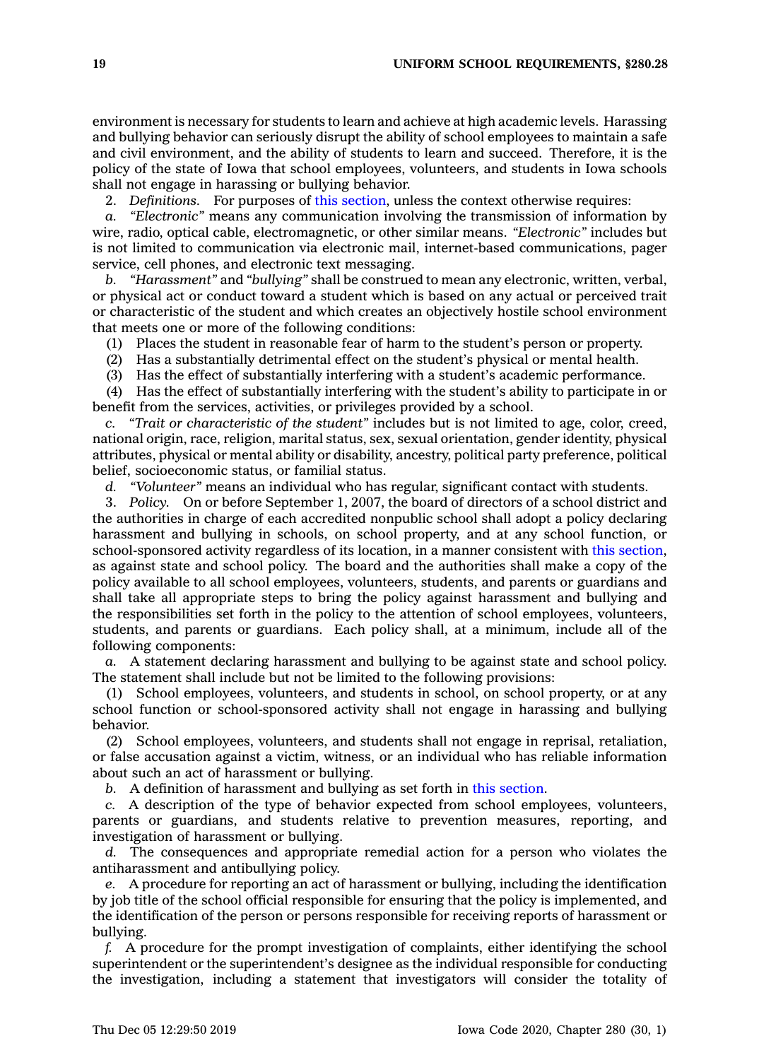environment is necessary for students to learn and achieve at high academic levels. Harassing and bullying behavior can seriously disrupt the ability of school employees to maintain <sup>a</sup> safe and civil environment, and the ability of students to learn and succeed. Therefore, it is the policy of the state of Iowa that school employees, volunteers, and students in Iowa schools shall not engage in harassing or bullying behavior.

2. *Definitions.* For purposes of this [section](https://www.legis.iowa.gov/docs/code/280.28.pdf), unless the context otherwise requires:

*a. "Electronic"* means any communication involving the transmission of information by wire, radio, optical cable, electromagnetic, or other similar means. *"Electronic"* includes but is not limited to communication via electronic mail, internet-based communications, pager service, cell phones, and electronic text messaging.

*b. "Harassment"* and *"bullying"* shall be construed to mean any electronic, written, verbal, or physical act or conduct toward <sup>a</sup> student which is based on any actual or perceived trait or characteristic of the student and which creates an objectively hostile school environment that meets one or more of the following conditions:

(1) Places the student in reasonable fear of harm to the student's person or property.

(2) Has <sup>a</sup> substantially detrimental effect on the student's physical or mental health.

(3) Has the effect of substantially interfering with <sup>a</sup> student's academic performance.

(4) Has the effect of substantially interfering with the student's ability to participate in or benefit from the services, activities, or privileges provided by <sup>a</sup> school.

*c. "Trait or characteristic of the student"* includes but is not limited to age, color, creed, national origin, race, religion, marital status, sex, sexual orientation, gender identity, physical attributes, physical or mental ability or disability, ancestry, political party preference, political belief, socioeconomic status, or familial status.

*d. "Volunteer"* means an individual who has regular, significant contact with students.

3. *Policy.* On or before September 1, 2007, the board of directors of <sup>a</sup> school district and the authorities in charge of each accredited nonpublic school shall adopt <sup>a</sup> policy declaring harassment and bullying in schools, on school property, and at any school function, or school-sponsored activity regardless of its location, in <sup>a</sup> manner consistent with this [section](https://www.legis.iowa.gov/docs/code/280.28.pdf), as against state and school policy. The board and the authorities shall make <sup>a</sup> copy of the policy available to all school employees, volunteers, students, and parents or guardians and shall take all appropriate steps to bring the policy against harassment and bullying and the responsibilities set forth in the policy to the attention of school employees, volunteers, students, and parents or guardians. Each policy shall, at <sup>a</sup> minimum, include all of the following components:

*a.* A statement declaring harassment and bullying to be against state and school policy. The statement shall include but not be limited to the following provisions:

(1) School employees, volunteers, and students in school, on school property, or at any school function or school-sponsored activity shall not engage in harassing and bullying behavior.

(2) School employees, volunteers, and students shall not engage in reprisal, retaliation, or false accusation against <sup>a</sup> victim, witness, or an individual who has reliable information about such an act of harassment or bullying.

*b.* A definition of harassment and bullying as set forth in this [section](https://www.legis.iowa.gov/docs/code/280.28.pdf).

*c.* A description of the type of behavior expected from school employees, volunteers, parents or guardians, and students relative to prevention measures, reporting, and investigation of harassment or bullying.

*d.* The consequences and appropriate remedial action for <sup>a</sup> person who violates the antiharassment and antibullying policy.

*e.* A procedure for reporting an act of harassment or bullying, including the identification by job title of the school official responsible for ensuring that the policy is implemented, and the identification of the person or persons responsible for receiving reports of harassment or bullying.

*f.* A procedure for the prompt investigation of complaints, either identifying the school superintendent or the superintendent's designee as the individual responsible for conducting the investigation, including <sup>a</sup> statement that investigators will consider the totality of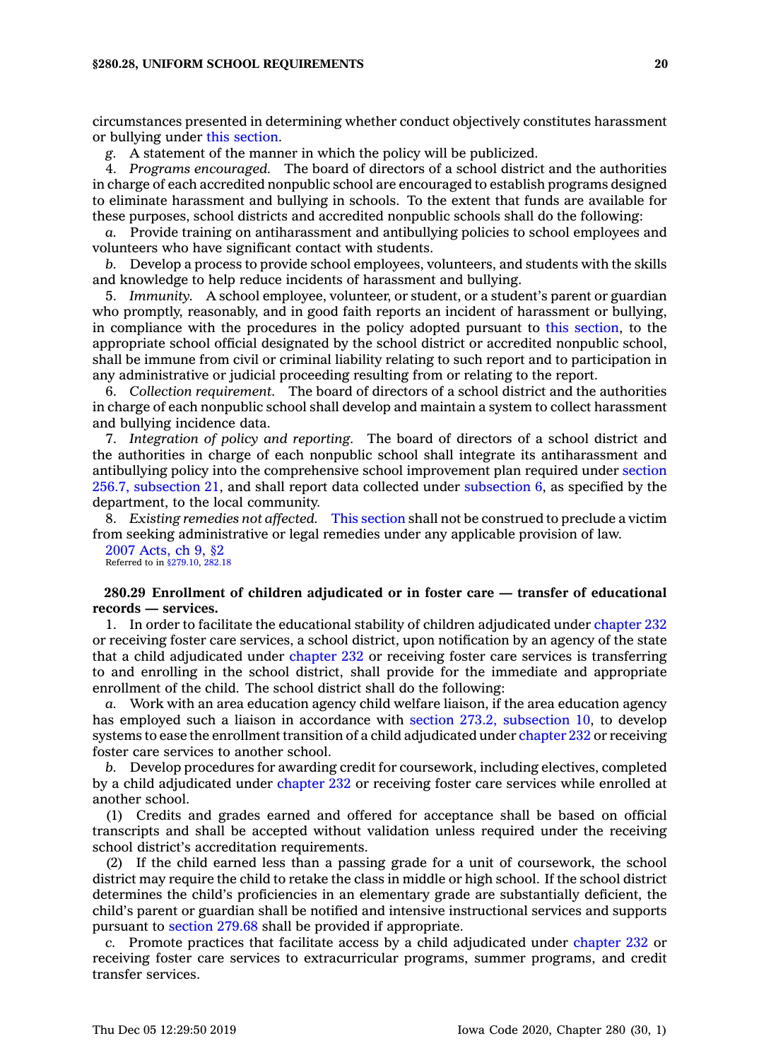circumstances presented in determining whether conduct objectively constitutes harassment or bullying under this [section](https://www.legis.iowa.gov/docs/code/280.28.pdf).

*g.* A statement of the manner in which the policy will be publicized.

4. *Programs encouraged.* The board of directors of <sup>a</sup> school district and the authorities in charge of each accredited nonpublic school are encouraged to establish programs designed to eliminate harassment and bullying in schools. To the extent that funds are available for these purposes, school districts and accredited nonpublic schools shall do the following:

*a.* Provide training on antiharassment and antibullying policies to school employees and volunteers who have significant contact with students.

*b.* Develop <sup>a</sup> process to provide school employees, volunteers, and students with the skills and knowledge to help reduce incidents of harassment and bullying.

5. *Immunity.* A school employee, volunteer, or student, or <sup>a</sup> student's parent or guardian who promptly, reasonably, and in good faith reports an incident of harassment or bullying, in compliance with the procedures in the policy adopted pursuant to this [section](https://www.legis.iowa.gov/docs/code/280.28.pdf), to the appropriate school official designated by the school district or accredited nonpublic school, shall be immune from civil or criminal liability relating to such report and to participation in any administrative or judicial proceeding resulting from or relating to the report.

6. *Collection requirement.* The board of directors of <sup>a</sup> school district and the authorities in charge of each nonpublic school shall develop and maintain <sup>a</sup> system to collect harassment and bullying incidence data.

7. *Integration of policy and reporting.* The board of directors of <sup>a</sup> school district and the authorities in charge of each nonpublic school shall integrate its antiharassment and antibullying policy into the comprehensive school improvement plan required under [section](https://www.legis.iowa.gov/docs/code/256.7.pdf) 256.7, [subsection](https://www.legis.iowa.gov/docs/code/256.7.pdf) 21, and shall report data collected under [subsection](https://www.legis.iowa.gov/docs/code/280.28.pdf) 6, as specified by the department, to the local community.

8. *Existing remedies not affected.* This [section](https://www.legis.iowa.gov/docs/code/280.28.pdf) shall not be construed to preclude <sup>a</sup> victim from seeking administrative or legal remedies under any applicable provision of law.

2007 [Acts,](https://www.legis.iowa.gov/docs/acts/2007/CH0009.pdf) ch 9, §2 Referred to in [§279.10](https://www.legis.iowa.gov/docs/code/279.10.pdf), [282.18](https://www.legis.iowa.gov/docs/code/282.18.pdf)

### **280.29 Enrollment of children adjudicated or in foster care — transfer of educational records — services.**

1. In order to facilitate the educational stability of children adjudicated under [chapter](https://www.legis.iowa.gov/docs/code//232.pdf) 232 or receiving foster care services, <sup>a</sup> school district, upon notification by an agency of the state that <sup>a</sup> child adjudicated under [chapter](https://www.legis.iowa.gov/docs/code//232.pdf) 232 or receiving foster care services is transferring to and enrolling in the school district, shall provide for the immediate and appropriate enrollment of the child. The school district shall do the following:

*a.* Work with an area education agency child welfare liaison, if the area education agency has employed such <sup>a</sup> liaison in accordance with section 273.2, [subsection](https://www.legis.iowa.gov/docs/code/273.2.pdf) 10, to develop systems to ease the enrollment transition of <sup>a</sup> child adjudicated under [chapter](https://www.legis.iowa.gov/docs/code//232.pdf) 232 or receiving foster care services to another school.

*b.* Develop procedures for awarding credit for coursework, including electives, completed by <sup>a</sup> child adjudicated under [chapter](https://www.legis.iowa.gov/docs/code//232.pdf) 232 or receiving foster care services while enrolled at another school.

(1) Credits and grades earned and offered for acceptance shall be based on official transcripts and shall be accepted without validation unless required under the receiving school district's accreditation requirements.

(2) If the child earned less than <sup>a</sup> passing grade for <sup>a</sup> unit of coursework, the school district may require the child to retake the class in middle or high school. If the school district determines the child's proficiencies in an elementary grade are substantially deficient, the child's parent or guardian shall be notified and intensive instructional services and supports pursuant to [section](https://www.legis.iowa.gov/docs/code/279.68.pdf) 279.68 shall be provided if appropriate.

*c.* Promote practices that facilitate access by <sup>a</sup> child adjudicated under [chapter](https://www.legis.iowa.gov/docs/code//232.pdf) 232 or receiving foster care services to extracurricular programs, summer programs, and credit transfer services.